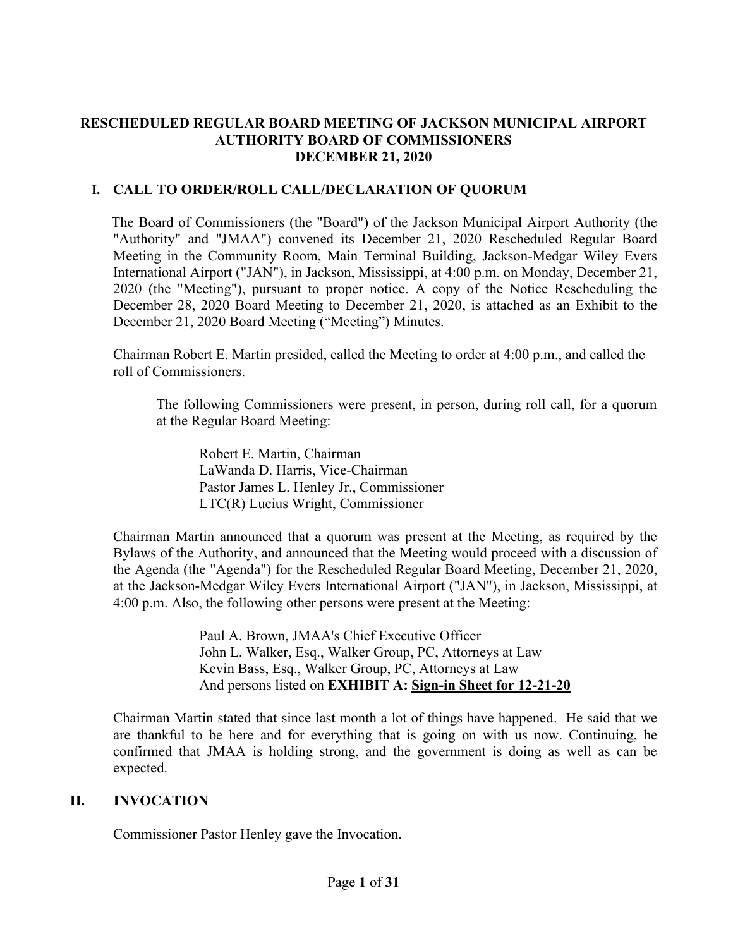## **RESCHEDULED REGULAR BOARD MEETING OF JACKSON MUNICIPAL AIRPORT AUTHORITY BOARD OF COMMISSIONERS DECEMBER 21, 2020**

# **I. CALL TO ORDER/ROLL CALL/DECLARATION OF QUORUM**

The Board of Commissioners (the "Board") of the Jackson Municipal Airport Authority (the "Authority" and "JMAA") convened its December 21, 2020 Rescheduled Regular Board Meeting in the Community Room, Main Terminal Building, Jackson-Medgar Wiley Evers International Airport ("JAN"), in Jackson, Mississippi, at 4:00 p.m. on Monday, December 21, 2020 (the "Meeting"), pursuant to proper notice. A copy of the Notice Rescheduling the December 28, 2020 Board Meeting to December 21, 2020, is attached as an Exhibit to the December 21, 2020 Board Meeting ("Meeting") Minutes.

Chairman Robert E. Martin presided, called the Meeting to order at 4:00 p.m., and called the roll of Commissioners.

The following Commissioners were present, in person, during roll call, for a quorum at the Regular Board Meeting:

Robert E. Martin, Chairman LaWanda D. Harris, Vice-Chairman Pastor James L. Henley Jr., Commissioner LTC(R) Lucius Wright, Commissioner

Chairman Martin announced that a quorum was present at the Meeting, as required by the Bylaws of the Authority, and announced that the Meeting would proceed with a discussion of the Agenda (the "Agenda") for the Rescheduled Regular Board Meeting, December 21, 2020, at the Jackson-Medgar Wiley Evers International Airport ("JAN"), in Jackson, Mississippi, at 4:00 p.m. Also, the following other persons were present at the Meeting:

> Paul A. Brown, JMAA's Chief Executive Officer John L. Walker, Esq., Walker Group, PC, Attorneys at Law Kevin Bass, Esq., Walker Group, PC, Attorneys at Law And persons listed on **EXHIBIT A: Sign[-in](file:///C:/Users/kevin/AppData/Local/Microsoft/Windows/Temporary%20Internet%20Files/2019-01-28%20Board%20Meeting/2017-07-27%20Board%20Meeting/2016-09-22%20Board%20Meeting/Rescheduled%20Regular%20Board%20Meeting%20Sign%20in%20Sheet%20August%2029%202016.pdf) Sheet for 12-21-20**

Chairman Martin stated that since last month a lot of things have happened. He said that we are thankful to be here and for everything that is going on with us now. Continuing, he confirmed that JMAA is holding strong, and the government is doing as well as can be expected.

## **II. INVOCATION**

Commissioner Pastor Henley gave the Invocation.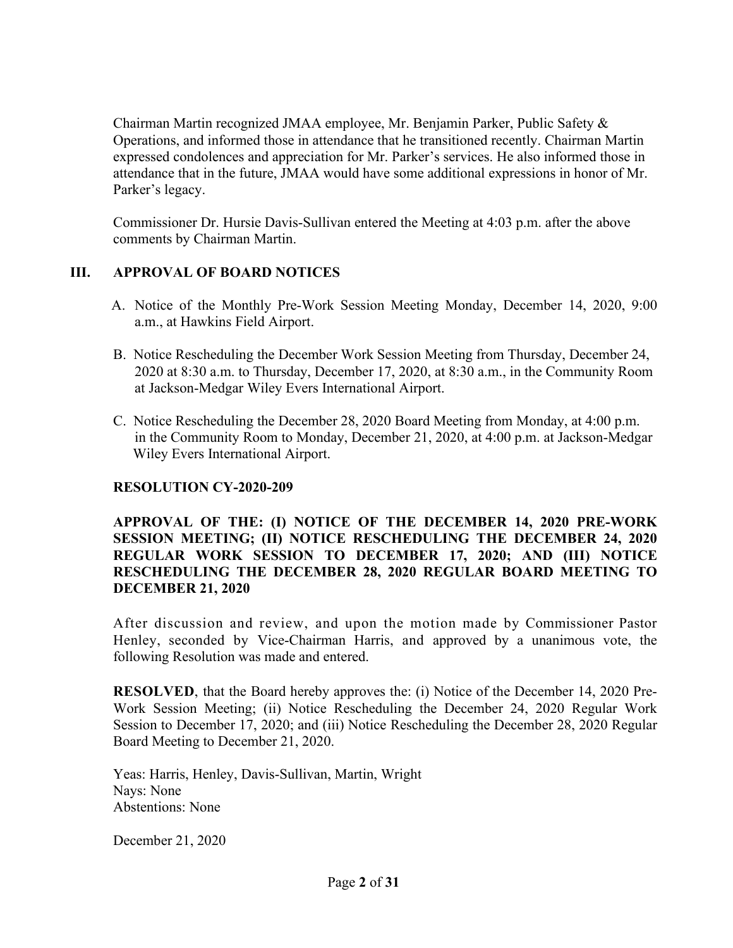Chairman Martin recognized JMAA employee, Mr. Benjamin Parker, Public Safety & Operations, and informed those in attendance that he transitioned recently. Chairman Martin expressed condolences and appreciation for Mr. Parker's services. He also informed those in attendance that in the future, JMAA would have some additional expressions in honor of Mr. Parker's legacy.

Commissioner Dr. Hursie Davis-Sullivan entered the Meeting at 4:03 p.m. after the above comments by Chairman Martin.

# **III. APPROVAL OF BOARD NOTICES**

- A. Notice of the Monthly Pre-Work Session Meeting Monday, December 14, 2020, 9:00 a.m., at Hawkins Field Airport.
- B. Notice Rescheduling the December Work Session Meeting from Thursday, December 24, 2020 at 8:30 a.m. to Thursday, December 17, 2020, at 8:30 a.m., in the Community Room at Jackson-Medgar Wiley Evers International Airport.
- C. Notice Rescheduling the December 28, 2020 Board Meeting from Monday, at 4:00 p.m. in the Community Room to Monday, December 21, 2020, at 4:00 p.m. at Jackson-Medgar Wiley Evers International Airport.

## **RESOLUTION CY-2020-209**

## **APPROVAL OF THE: (I) NOTICE OF THE DECEMBER 14, 2020 PRE-WORK SESSION MEETING; (II) NOTICE RESCHEDULING THE DECEMBER 24, 2020 REGULAR WORK SESSION TO DECEMBER 17, 2020; AND (III) NOTICE RESCHEDULING THE DECEMBER 28, 2020 REGULAR BOARD MEETING TO DECEMBER 21, 2020**

After discussion and review, and upon the motion made by Commissioner Pastor Henley, seconded by Vice-Chairman Harris, and approved by a unanimous vote, the following Resolution was made and entered.

**RESOLVED**, that the Board hereby approves the: (i) Notice of the December 14, 2020 Pre-Work Session Meeting; (ii) Notice Rescheduling the December 24, 2020 Regular Work Session to December 17, 2020; and (iii) Notice Rescheduling the December 28, 2020 Regular Board Meeting to December 21, 2020.

Yeas: Harris, Henley, Davis-Sullivan, Martin, Wright Nays: None Abstentions: None

December 21, 2020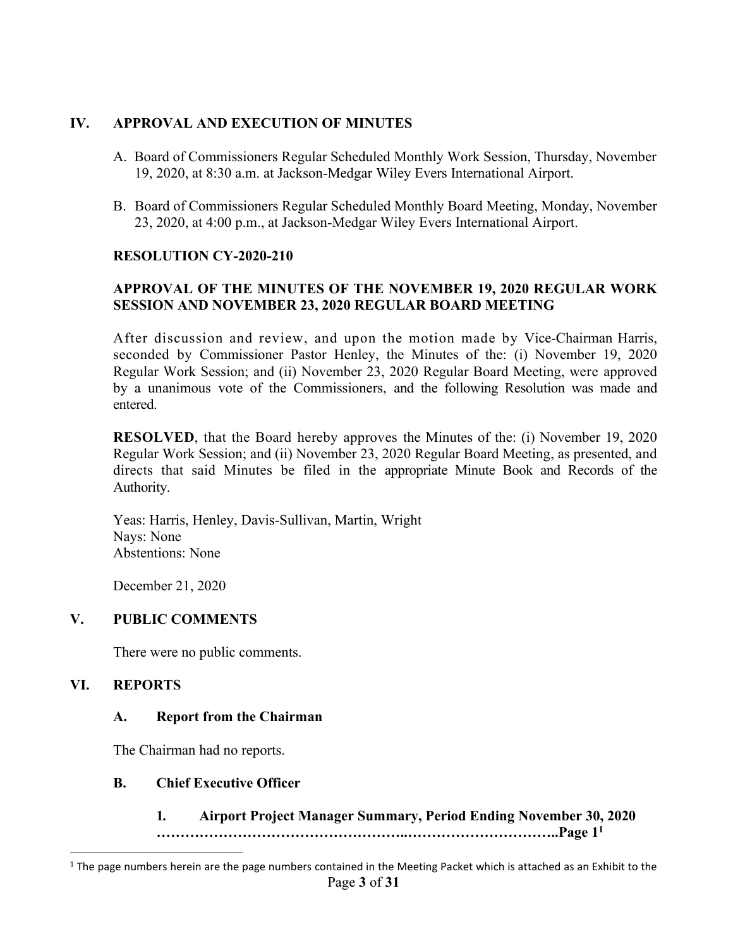## **IV. APPROVAL AND EXECUTION OF MINUTES**

- A. Board of Commissioners Regular Scheduled Monthly Work Session, Thursday, November 19, 2020, at 8:30 a.m. at Jackson-Medgar Wiley Evers International Airport.
- B. Board of Commissioners Regular Scheduled Monthly Board Meeting, Monday, November 23, 2020, at 4:00 p.m., at Jackson-Medgar Wiley Evers International Airport.

## **RESOLUTION CY-2020-210**

# **APPROVAL OF THE MINUTES OF THE NOVEMBER 19, 2020 REGULAR WORK SESSION AND NOVEMBER 23, 2020 REGULAR BOARD MEETING**

After discussion and review, and upon the motion made by Vice-Chairman Harris, seconded by Commissioner Pastor Henley, the Minutes of the: (i) November 19, 2020 Regular Work Session; and (ii) November 23, 2020 Regular Board Meeting, were approved by a unanimous vote of the Commissioners, and the following Resolution was made and entered.

**RESOLVED**, that the Board hereby approves the Minutes of the: (i) November 19, 2020 Regular Work Session; and (ii) November 23, 2020 Regular Board Meeting, as presented, and directs that said Minutes be filed in the appropriate Minute Book and Records of the Authority.

Yeas: Harris, Henley, Davis-Sullivan, Martin, Wright Nays: None Abstentions: None

December 21, 2020

# **V. PUBLIC COMMENTS**

There were no public comments.

## **VI. REPORTS**

## **A. Report from the Chairman**

The Chairman had no reports.

## **B. Chief Executive Officer**

#### **1***.* **Airport Project Manager Summary, Period Ending November 30, 2020 ……………………………………………..…………………………..Page 1<sup>1</sup>**

Page **3** of **31**  $1$  The page numbers herein are the page numbers contained in the Meeting Packet which is attached as an Exhibit to the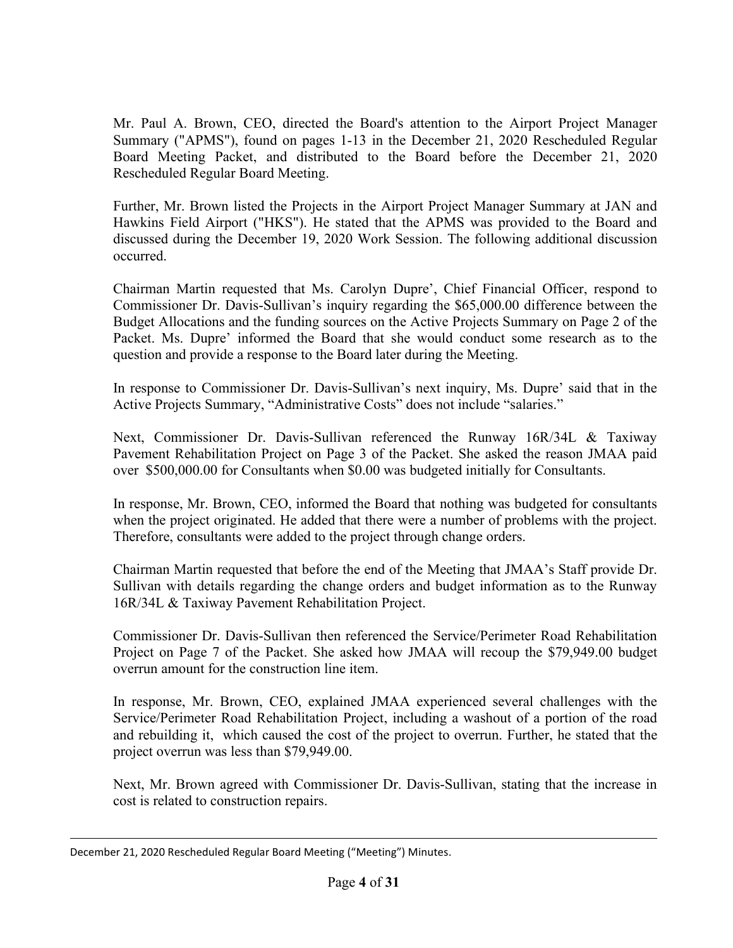Mr. Paul A. Brown, CEO, directed the Board's attention to the Airport Project Manager Summary ("APMS"), found on pages 1-13 in the December 21, 2020 Rescheduled Regular Board Meeting Packet, and distributed to the Board before the December 21, 2020 Rescheduled Regular Board Meeting.

Further, Mr. Brown listed the Projects in the Airport Project Manager Summary at JAN and Hawkins Field Airport ("HKS"). He stated that the APMS was provided to the Board and discussed during the December 19, 2020 Work Session. The following additional discussion occurred.

Chairman Martin requested that Ms. Carolyn Dupre', Chief Financial Officer, respond to Commissioner Dr. Davis-Sullivan's inquiry regarding the \$65,000.00 difference between the Budget Allocations and the funding sources on the Active Projects Summary on Page 2 of the Packet. Ms. Dupre' informed the Board that she would conduct some research as to the question and provide a response to the Board later during the Meeting.

In response to Commissioner Dr. Davis-Sullivan's next inquiry, Ms. Dupre' said that in the Active Projects Summary, "Administrative Costs" does not include "salaries."

Next, Commissioner Dr. Davis-Sullivan referenced the Runway 16R/34L & Taxiway Pavement Rehabilitation Project on Page 3 of the Packet. She asked the reason JMAA paid over \$500,000.00 for Consultants when \$0.00 was budgeted initially for Consultants.

In response, Mr. Brown, CEO, informed the Board that nothing was budgeted for consultants when the project originated. He added that there were a number of problems with the project. Therefore, consultants were added to the project through change orders.

Chairman Martin requested that before the end of the Meeting that JMAA's Staff provide Dr. Sullivan with details regarding the change orders and budget information as to the Runway 16R/34L & Taxiway Pavement Rehabilitation Project.

Commissioner Dr. Davis-Sullivan then referenced the Service/Perimeter Road Rehabilitation Project on Page 7 of the Packet. She asked how JMAA will recoup the \$79,949.00 budget overrun amount for the construction line item.

In response, Mr. Brown, CEO, explained JMAA experienced several challenges with the Service/Perimeter Road Rehabilitation Project, including a washout of a portion of the road and rebuilding it, which caused the cost of the project to overrun. Further, he stated that the project overrun was less than \$79,949.00.

Next, Mr. Brown agreed with Commissioner Dr. Davis-Sullivan, stating that the increase in cost is related to construction repairs.

December 21, 2020 Rescheduled Regular Board Meeting ("Meeting") Minutes.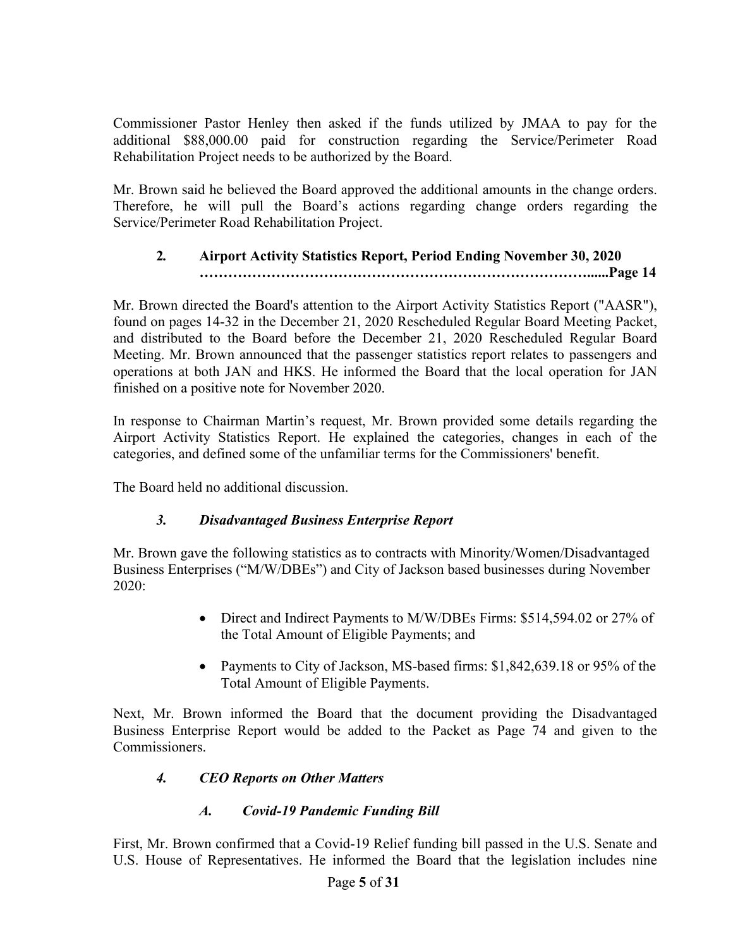Commissioner Pastor Henley then asked if the funds utilized by JMAA to pay for the additional \$88,000.00 paid for construction regarding the Service/Perimeter Road Rehabilitation Project needs to be authorized by the Board.

Mr. Brown said he believed the Board approved the additional amounts in the change orders. Therefore, he will pull the Board's actions regarding change orders regarding the Service/Perimeter Road Rehabilitation Project.

# **2***.* **Airport Activity Statistics Report, Period Ending November 30, 2020 ………………………………………………………………………......Page 14**

Mr. Brown directed the Board's attention to the Airport Activity Statistics Report ("AASR"), found on pages 14-32 in the December 21, 2020 Rescheduled Regular Board Meeting Packet, and distributed to the Board before the December 21, 2020 Rescheduled Regular Board Meeting. Mr. Brown announced that the passenger statistics report relates to passengers and operations at both JAN and HKS. He informed the Board that the local operation for JAN finished on a positive note for November 2020.

In response to Chairman Martin's request, Mr. Brown provided some details regarding the Airport Activity Statistics Report. He explained the categories, changes in each of the categories, and defined some of the unfamiliar terms for the Commissioners' benefit.

The Board held no additional discussion.

# *3. Disadvantaged Business Enterprise Report*

Mr. Brown gave the following statistics as to contracts with Minority/Women/Disadvantaged Business Enterprises ("M/W/DBEs") and City of Jackson based businesses during November 2020:

- Direct and Indirect Payments to M/W/DBEs Firms: \$514,594.02 or 27% of the Total Amount of Eligible Payments; and
- Payments to City of Jackson, MS-based firms: \$1,842,639.18 or 95% of the Total Amount of Eligible Payments.

Next, Mr. Brown informed the Board that the document providing the Disadvantaged Business Enterprise Report would be added to the Packet as Page 74 and given to the Commissioners.

# *4. CEO Reports on Other Matters*

# *A. Covid-19 Pandemic Funding Bill*

First, Mr. Brown confirmed that a Covid-19 Relief funding bill passed in the U.S. Senate and U.S. House of Representatives. He informed the Board that the legislation includes nine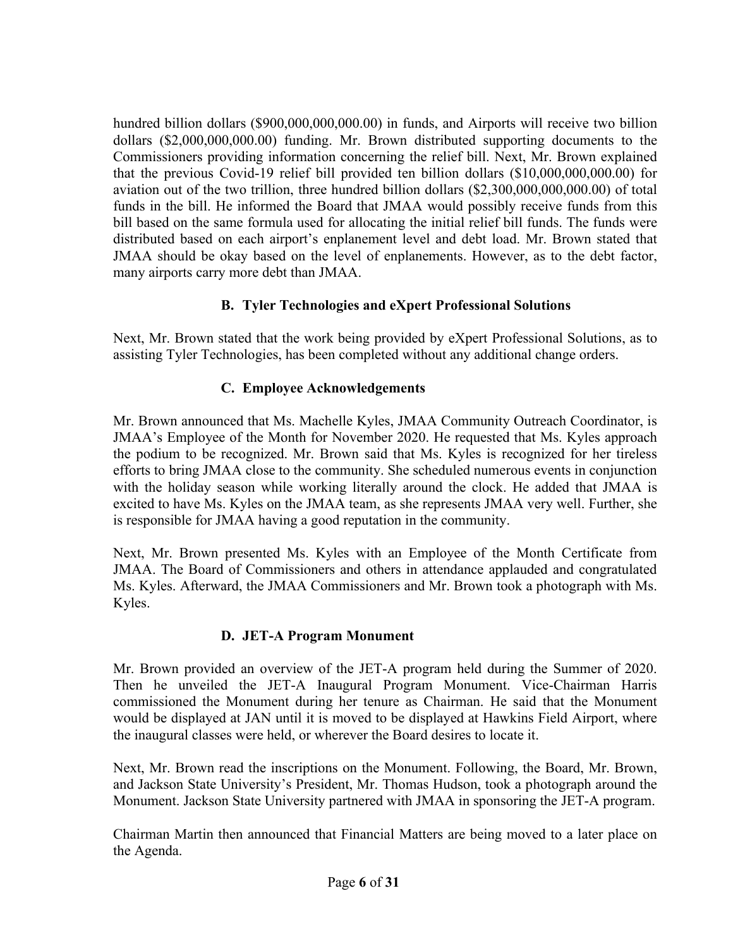hundred billion dollars (\$900,000,000,000.00) in funds, and Airports will receive two billion dollars (\$2,000,000,000.00) funding. Mr. Brown distributed supporting documents to the Commissioners providing information concerning the relief bill. Next, Mr. Brown explained that the previous Covid-19 relief bill provided ten billion dollars (\$10,000,000,000.00) for aviation out of the two trillion, three hundred billion dollars (\$2,300,000,000,000.00) of total funds in the bill. He informed the Board that JMAA would possibly receive funds from this bill based on the same formula used for allocating the initial relief bill funds. The funds were distributed based on each airport's enplanement level and debt load. Mr. Brown stated that JMAA should be okay based on the level of enplanements. However, as to the debt factor, many airports carry more debt than JMAA.

# **B. Tyler Technologies and eXpert Professional Solutions**

Next, Mr. Brown stated that the work being provided by eXpert Professional Solutions, as to assisting Tyler Technologies, has been completed without any additional change orders.

## **C. Employee Acknowledgements**

Mr. Brown announced that Ms. Machelle Kyles, JMAA Community Outreach Coordinator, is JMAA's Employee of the Month for November 2020. He requested that Ms. Kyles approach the podium to be recognized. Mr. Brown said that Ms. Kyles is recognized for her tireless efforts to bring JMAA close to the community. She scheduled numerous events in conjunction with the holiday season while working literally around the clock. He added that JMAA is excited to have Ms. Kyles on the JMAA team, as she represents JMAA very well. Further, she is responsible for JMAA having a good reputation in the community.

Next, Mr. Brown presented Ms. Kyles with an Employee of the Month Certificate from JMAA. The Board of Commissioners and others in attendance applauded and congratulated Ms. Kyles. Afterward, the JMAA Commissioners and Mr. Brown took a photograph with Ms. Kyles.

## **D. JET-A Program Monument**

Mr. Brown provided an overview of the JET-A program held during the Summer of 2020. Then he unveiled the JET-A Inaugural Program Monument. Vice-Chairman Harris commissioned the Monument during her tenure as Chairman. He said that the Monument would be displayed at JAN until it is moved to be displayed at Hawkins Field Airport, where the inaugural classes were held, or wherever the Board desires to locate it.

Next, Mr. Brown read the inscriptions on the Monument. Following, the Board, Mr. Brown, and Jackson State University's President, Mr. Thomas Hudson, took a photograph around the Monument. Jackson State University partnered with JMAA in sponsoring the JET-A program.

Chairman Martin then announced that Financial Matters are being moved to a later place on the Agenda.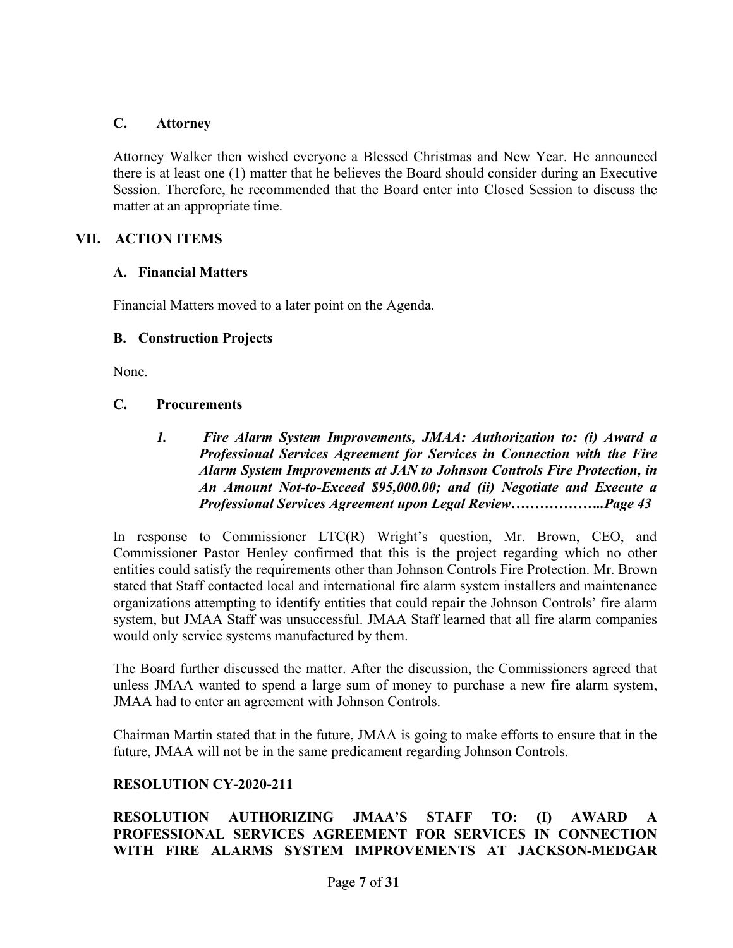#### **C. Attorney**

Attorney Walker then wished everyone a Blessed Christmas and New Year. He announced there is at least one (1) matter that he believes the Board should consider during an Executive Session. Therefore, he recommended that the Board enter into Closed Session to discuss the matter at an appropriate time.

## **VII. ACTION ITEMS**

#### **A. Financial Matters**

Financial Matters moved to a later point on the Agenda.

#### **B. Construction Projects**

None.

#### **C. Procurements**

*1. Fire Alarm System Improvements, JMAA: Authorization to: (i) Award a Professional Services Agreement for Services in Connection with the Fire Alarm System Improvements at JAN to Johnson Controls Fire Protection, in An Amount Not-to-Exceed \$95,000.00; and (ii) Negotiate and Execute a Professional Services Agreement upon Legal Review………………..Page 43*

In response to Commissioner LTC(R) Wright's question, Mr. Brown, CEO, and Commissioner Pastor Henley confirmed that this is the project regarding which no other entities could satisfy the requirements other than Johnson Controls Fire Protection. Mr. Brown stated that Staff contacted local and international fire alarm system installers and maintenance organizations attempting to identify entities that could repair the Johnson Controls' fire alarm system, but JMAA Staff was unsuccessful. JMAA Staff learned that all fire alarm companies would only service systems manufactured by them.

The Board further discussed the matter. After the discussion, the Commissioners agreed that unless JMAA wanted to spend a large sum of money to purchase a new fire alarm system, JMAA had to enter an agreement with Johnson Controls.

Chairman Martin stated that in the future, JMAA is going to make efforts to ensure that in the future, JMAA will not be in the same predicament regarding Johnson Controls.

## **RESOLUTION CY-2020-211**

## **RESOLUTION AUTHORIZING JMAA'S STAFF TO: (I) AWARD A PROFESSIONAL SERVICES AGREEMENT FOR SERVICES IN CONNECTION WITH FIRE ALARMS SYSTEM IMPROVEMENTS AT JACKSON-MEDGAR**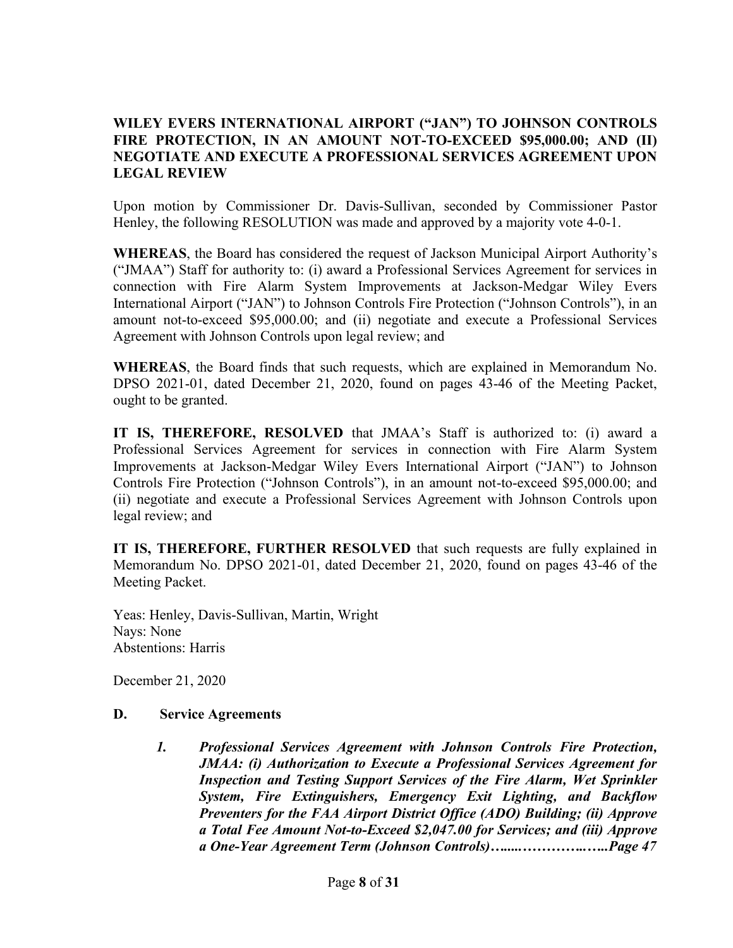## **WILEY EVERS INTERNATIONAL AIRPORT ("JAN") TO JOHNSON CONTROLS FIRE PROTECTION, IN AN AMOUNT NOT-TO-EXCEED \$95,000.00; AND (II) NEGOTIATE AND EXECUTE A PROFESSIONAL SERVICES AGREEMENT UPON LEGAL REVIEW**

Upon motion by Commissioner Dr. Davis-Sullivan, seconded by Commissioner Pastor Henley, the following RESOLUTION was made and approved by a majority vote 4-0-1.

**WHEREAS**, the Board has considered the request of Jackson Municipal Airport Authority's ("JMAA") Staff for authority to: (i) award a Professional Services Agreement for services in connection with Fire Alarm System Improvements at Jackson-Medgar Wiley Evers International Airport ("JAN") to Johnson Controls Fire Protection ("Johnson Controls"), in an amount not-to-exceed \$95,000.00; and (ii) negotiate and execute a Professional Services Agreement with Johnson Controls upon legal review; and

**WHEREAS**, the Board finds that such requests, which are explained in Memorandum No. DPSO 2021-01, dated December 21, 2020, found on pages 43-46 of the Meeting Packet, ought to be granted.

**IT IS, THEREFORE, RESOLVED** that JMAA's Staff is authorized to: (i) award a Professional Services Agreement for services in connection with Fire Alarm System Improvements at Jackson-Medgar Wiley Evers International Airport ("JAN") to Johnson Controls Fire Protection ("Johnson Controls"), in an amount not-to-exceed \$95,000.00; and (ii) negotiate and execute a Professional Services Agreement with Johnson Controls upon legal review; and

**IT IS, THEREFORE, FURTHER RESOLVED** that such requests are fully explained in Memorandum No. DPSO 2021-01, dated December 21, 2020, found on pages 43-46 of the Meeting Packet.

Yeas: Henley, Davis-Sullivan, Martin, Wright Nays: None Abstentions: Harris

December 21, 2020

## **D. Service Agreements**

*1. Professional Services Agreement with Johnson Controls Fire Protection, JMAA: (i) Authorization to Execute a Professional Services Agreement for Inspection and Testing Support Services of the Fire Alarm, Wet Sprinkler System, Fire Extinguishers, Emergency Exit Lighting, and Backflow Preventers for the FAA Airport District Office (ADO) Building; (ii) Approve a Total Fee Amount Not-to-Exceed \$2,047.00 for Services; and (iii) Approve a One-Year Agreement Term (Johnson Controls)….....…………..…..Page 47*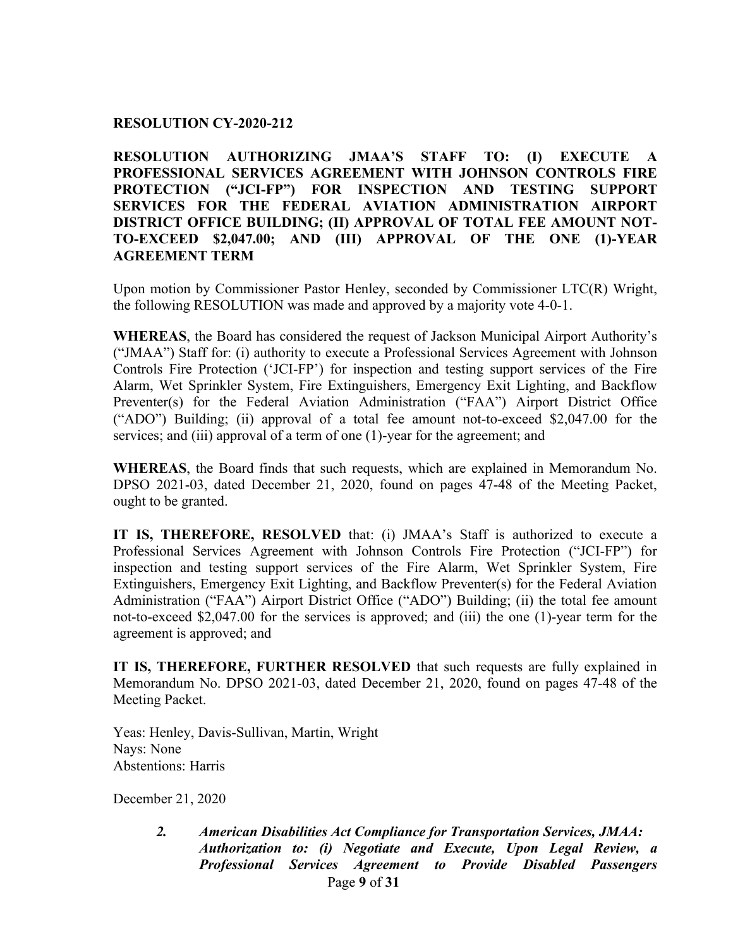#### **RESOLUTION CY-2020-212**

**RESOLUTION AUTHORIZING JMAA'S STAFF TO: (I) EXECUTE A PROFESSIONAL SERVICES AGREEMENT WITH JOHNSON CONTROLS FIRE PROTECTION ("JCI-FP") FOR INSPECTION AND TESTING SUPPORT SERVICES FOR THE FEDERAL AVIATION ADMINISTRATION AIRPORT DISTRICT OFFICE BUILDING; (II) APPROVAL OF TOTAL FEE AMOUNT NOT-TO-EXCEED \$2,047.00; AND (III) APPROVAL OF THE ONE (1)-YEAR AGREEMENT TERM**

Upon motion by Commissioner Pastor Henley, seconded by Commissioner LTC(R) Wright, the following RESOLUTION was made and approved by a majority vote 4-0-1.

**WHEREAS**, the Board has considered the request of Jackson Municipal Airport Authority's ("JMAA") Staff for: (i) authority to execute a Professional Services Agreement with Johnson Controls Fire Protection ('JCI-FP') for inspection and testing support services of the Fire Alarm, Wet Sprinkler System, Fire Extinguishers, Emergency Exit Lighting, and Backflow Preventer(s) for the Federal Aviation Administration ("FAA") Airport District Office ("ADO") Building; (ii) approval of a total fee amount not-to-exceed \$2,047.00 for the services; and (iii) approval of a term of one (1)-year for the agreement; and

**WHEREAS**, the Board finds that such requests, which are explained in Memorandum No. DPSO 2021-03, dated December 21, 2020, found on pages 47-48 of the Meeting Packet, ought to be granted.

**IT IS, THEREFORE, RESOLVED** that: (i) JMAA's Staff is authorized to execute a Professional Services Agreement with Johnson Controls Fire Protection ("JCI-FP") for inspection and testing support services of the Fire Alarm, Wet Sprinkler System, Fire Extinguishers, Emergency Exit Lighting, and Backflow Preventer(s) for the Federal Aviation Administration ("FAA") Airport District Office ("ADO") Building; (ii) the total fee amount not-to-exceed \$2,047.00 for the services is approved; and (iii) the one (1)-year term for the agreement is approved; and

**IT IS, THEREFORE, FURTHER RESOLVED** that such requests are fully explained in Memorandum No. DPSO 2021-03, dated December 21, 2020, found on pages 47-48 of the Meeting Packet.

Yeas: Henley, Davis-Sullivan, Martin, Wright Nays: None Abstentions: Harris

December 21, 2020

Page **9** of **31** *2. American Disabilities Act Compliance for Transportation Services, JMAA: Authorization to: (i) Negotiate and Execute, Upon Legal Review, a Professional Services Agreement to Provide Disabled Passengers*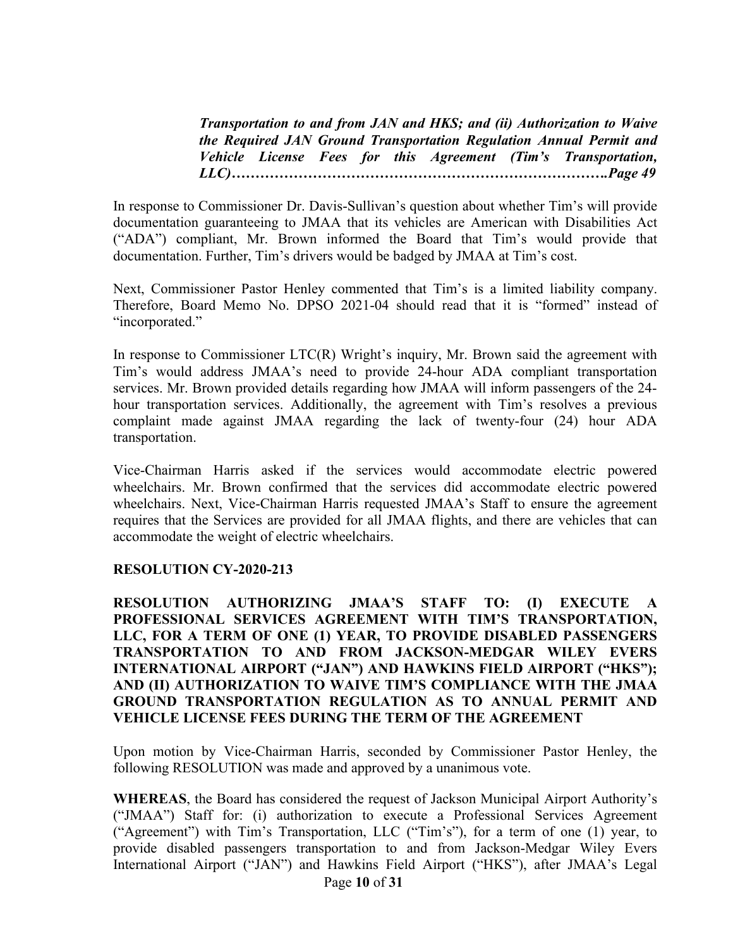*Transportation to and from JAN and HKS; and (ii) Authorization to Waive the Required JAN Ground Transportation Regulation Annual Permit and Vehicle License Fees for this Agreement (Tim's Transportation, LLC)…………………………………………………………………….Page 49*

In response to Commissioner Dr. Davis-Sullivan's question about whether Tim's will provide documentation guaranteeing to JMAA that its vehicles are American with Disabilities Act ("ADA") compliant, Mr. Brown informed the Board that Tim's would provide that documentation. Further, Tim's drivers would be badged by JMAA at Tim's cost.

Next, Commissioner Pastor Henley commented that Tim's is a limited liability company. Therefore, Board Memo No. DPSO 2021-04 should read that it is "formed" instead of "incorporated."

In response to Commissioner LTC(R) Wright's inquiry, Mr. Brown said the agreement with Tim's would address JMAA's need to provide 24-hour ADA compliant transportation services. Mr. Brown provided details regarding how JMAA will inform passengers of the 24 hour transportation services. Additionally, the agreement with Tim's resolves a previous complaint made against JMAA regarding the lack of twenty-four (24) hour ADA transportation.

Vice-Chairman Harris asked if the services would accommodate electric powered wheelchairs. Mr. Brown confirmed that the services did accommodate electric powered wheelchairs. Next, Vice-Chairman Harris requested JMAA's Staff to ensure the agreement requires that the Services are provided for all JMAA flights, and there are vehicles that can accommodate the weight of electric wheelchairs.

#### **RESOLUTION CY-2020-213**

**RESOLUTION AUTHORIZING JMAA'S STAFF TO: (I) EXECUTE A PROFESSIONAL SERVICES AGREEMENT WITH TIM'S TRANSPORTATION, LLC, FOR A TERM OF ONE (1) YEAR, TO PROVIDE DISABLED PASSENGERS TRANSPORTATION TO AND FROM JACKSON-MEDGAR WILEY EVERS INTERNATIONAL AIRPORT ("JAN") AND HAWKINS FIELD AIRPORT ("HKS"); AND (II) AUTHORIZATION TO WAIVE TIM'S COMPLIANCE WITH THE JMAA GROUND TRANSPORTATION REGULATION AS TO ANNUAL PERMIT AND VEHICLE LICENSE FEES DURING THE TERM OF THE AGREEMENT**

Upon motion by Vice-Chairman Harris, seconded by Commissioner Pastor Henley, the following RESOLUTION was made and approved by a unanimous vote.

Page **10** of **31 WHEREAS**, the Board has considered the request of Jackson Municipal Airport Authority's ("JMAA") Staff for: (i) authorization to execute a Professional Services Agreement ("Agreement") with Tim's Transportation, LLC ("Tim's"), for a term of one (1) year, to provide disabled passengers transportation to and from Jackson-Medgar Wiley Evers International Airport ("JAN") and Hawkins Field Airport ("HKS"), after JMAA's Legal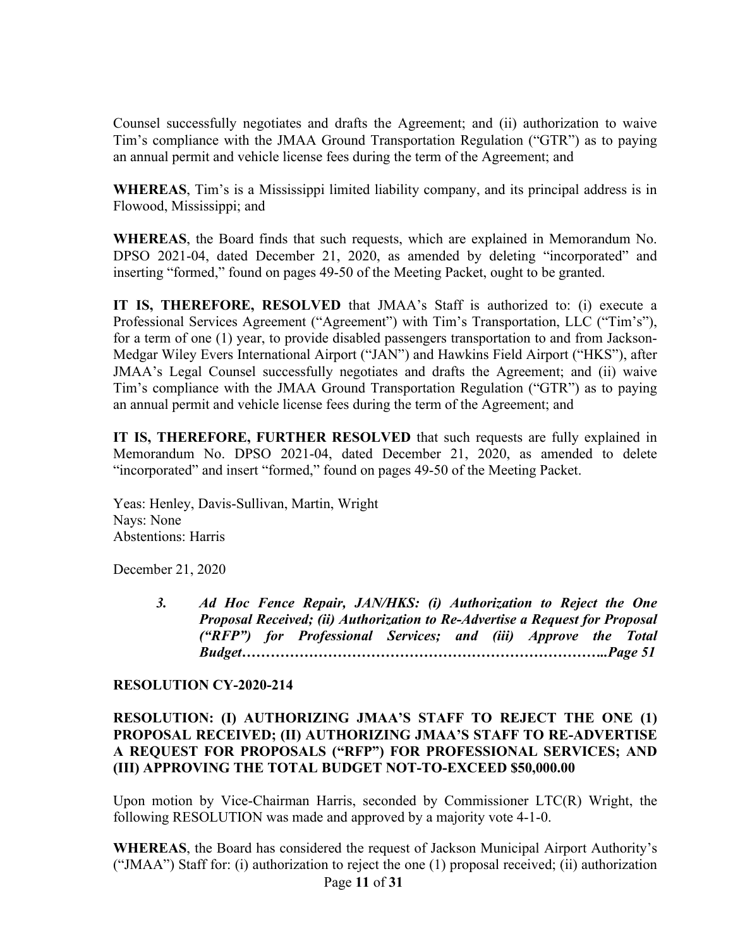Counsel successfully negotiates and drafts the Agreement; and (ii) authorization to waive Tim's compliance with the JMAA Ground Transportation Regulation ("GTR") as to paying an annual permit and vehicle license fees during the term of the Agreement; and

**WHEREAS**, Tim's is a Mississippi limited liability company, and its principal address is in Flowood, Mississippi; and

**WHEREAS**, the Board finds that such requests, which are explained in Memorandum No. DPSO 2021-04, dated December 21, 2020, as amended by deleting "incorporated" and inserting "formed," found on pages 49-50 of the Meeting Packet, ought to be granted.

**IT IS, THEREFORE, RESOLVED** that JMAA's Staff is authorized to: (i) execute a Professional Services Agreement ("Agreement") with Tim's Transportation, LLC ("Tim's"), for a term of one (1) year, to provide disabled passengers transportation to and from Jackson-Medgar Wiley Evers International Airport ("JAN") and Hawkins Field Airport ("HKS"), after JMAA's Legal Counsel successfully negotiates and drafts the Agreement; and (ii) waive Tim's compliance with the JMAA Ground Transportation Regulation ("GTR") as to paying an annual permit and vehicle license fees during the term of the Agreement; and

**IT IS, THEREFORE, FURTHER RESOLVED** that such requests are fully explained in Memorandum No. DPSO 2021-04, dated December 21, 2020, as amended to delete "incorporated" and insert "formed," found on pages 49-50 of the Meeting Packet.

Yeas: Henley, Davis-Sullivan, Martin, Wright Nays: None Abstentions: Harris

December 21, 2020

*3. Ad Hoc Fence Repair, JAN/HKS: (i) Authorization to Reject the One Proposal Received; (ii) Authorization to Re-Advertise a Request for Proposal ("RFP") for Professional Services; and (iii) Approve the Total Budget…………………………………………………………………..Page 51*

#### **RESOLUTION CY-2020-214**

#### **RESOLUTION: (I) AUTHORIZING JMAA'S STAFF TO REJECT THE ONE (1) PROPOSAL RECEIVED; (II) AUTHORIZING JMAA'S STAFF TO RE-ADVERTISE A REQUEST FOR PROPOSALS ("RFP") FOR PROFESSIONAL SERVICES; AND (III) APPROVING THE TOTAL BUDGET NOT-TO-EXCEED \$50,000.00**

Upon motion by Vice-Chairman Harris, seconded by Commissioner LTC(R) Wright, the following RESOLUTION was made and approved by a majority vote 4-1-0.

Page **11** of **31 WHEREAS**, the Board has considered the request of Jackson Municipal Airport Authority's ("JMAA") Staff for: (i) authorization to reject the one (1) proposal received; (ii) authorization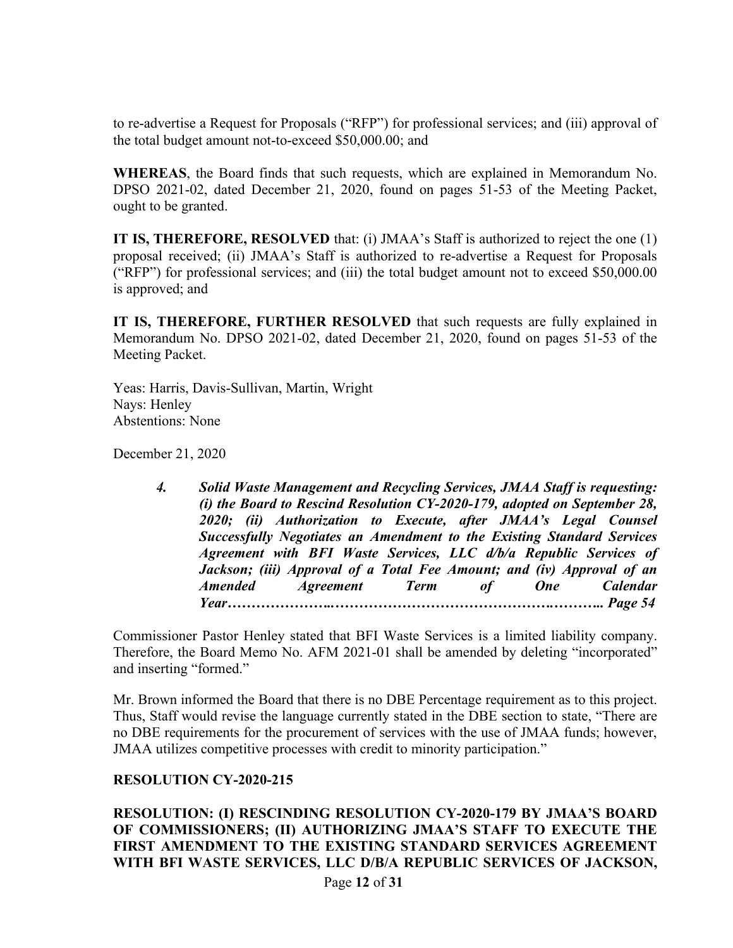to re-advertise a Request for Proposals ("RFP") for professional services; and (iii) approval of the total budget amount not-to-exceed \$50,000.00; and

**WHEREAS**, the Board finds that such requests, which are explained in Memorandum No. DPSO 2021-02, dated December 21, 2020, found on pages 51-53 of the Meeting Packet, ought to be granted.

**IT IS, THEREFORE, RESOLVED** that: (i) JMAA's Staff is authorized to reject the one (1) proposal received; (ii) JMAA's Staff is authorized to re-advertise a Request for Proposals ("RFP") for professional services; and (iii) the total budget amount not to exceed \$50,000.00 is approved; and

**IT IS, THEREFORE, FURTHER RESOLVED** that such requests are fully explained in Memorandum No. DPSO 2021-02, dated December 21, 2020, found on pages 51-53 of the Meeting Packet.

Yeas: Harris, Davis-Sullivan, Martin, Wright Nays: Henley Abstentions: None

December 21, 2020

*4. Solid Waste Management and Recycling Services, JMAA Staff is requesting: (i) the Board to Rescind Resolution CY-2020-179, adopted on September 28, 2020; (ii) Authorization to Execute, after JMAA's Legal Counsel Successfully Negotiates an Amendment to the Existing Standard Services Agreement with BFI Waste Services, LLC d/b/a Republic Services of Jackson; (iii) Approval of a Total Fee Amount; and (iv) Approval of an Amended Agreement Term of One Calendar Year…………………..……………………………………….……….. Page 54*

Commissioner Pastor Henley stated that BFI Waste Services is a limited liability company. Therefore, the Board Memo No. AFM 2021-01 shall be amended by deleting "incorporated" and inserting "formed."

Mr. Brown informed the Board that there is no DBE Percentage requirement as to this project. Thus, Staff would revise the language currently stated in the DBE section to state, "There are no DBE requirements for the procurement of services with the use of JMAA funds; however, JMAA utilizes competitive processes with credit to minority participation."

## **RESOLUTION CY-2020-215**

Page **12** of **31 RESOLUTION: (I) RESCINDING RESOLUTION CY-2020-179 BY JMAA'S BOARD OF COMMISSIONERS; (II) AUTHORIZING JMAA'S STAFF TO EXECUTE THE FIRST AMENDMENT TO THE EXISTING STANDARD SERVICES AGREEMENT WITH BFI WASTE SERVICES, LLC D/B/A REPUBLIC SERVICES OF JACKSON,**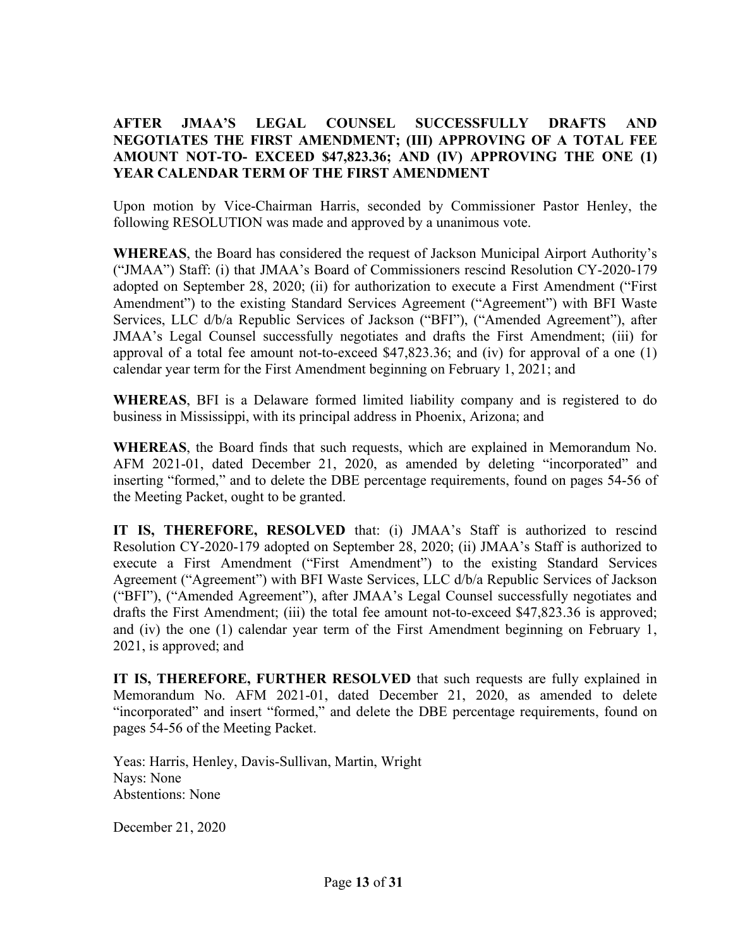## **AFTER JMAA'S LEGAL COUNSEL SUCCESSFULLY DRAFTS AND NEGOTIATES THE FIRST AMENDMENT; (III) APPROVING OF A TOTAL FEE AMOUNT NOT-TO- EXCEED \$47,823.36; AND (IV) APPROVING THE ONE (1) YEAR CALENDAR TERM OF THE FIRST AMENDMENT**

Upon motion by Vice-Chairman Harris, seconded by Commissioner Pastor Henley, the following RESOLUTION was made and approved by a unanimous vote.

**WHEREAS**, the Board has considered the request of Jackson Municipal Airport Authority's ("JMAA") Staff: (i) that JMAA's Board of Commissioners rescind Resolution CY-2020-179 adopted on September 28, 2020; (ii) for authorization to execute a First Amendment ("First Amendment") to the existing Standard Services Agreement ("Agreement") with BFI Waste Services, LLC d/b/a Republic Services of Jackson ("BFI"), ("Amended Agreement"), after JMAA's Legal Counsel successfully negotiates and drafts the First Amendment; (iii) for approval of a total fee amount not-to-exceed \$47,823.36; and (iv) for approval of a one (1) calendar year term for the First Amendment beginning on February 1, 2021; and

**WHEREAS**, BFI is a Delaware formed limited liability company and is registered to do business in Mississippi, with its principal address in Phoenix, Arizona; and

**WHEREAS**, the Board finds that such requests, which are explained in Memorandum No. AFM 2021-01, dated December 21, 2020, as amended by deleting "incorporated" and inserting "formed," and to delete the DBE percentage requirements, found on pages 54-56 of the Meeting Packet, ought to be granted.

**IT IS, THEREFORE, RESOLVED** that: (i) JMAA's Staff is authorized to rescind Resolution CY-2020-179 adopted on September 28, 2020; (ii) JMAA's Staff is authorized to execute a First Amendment ("First Amendment") to the existing Standard Services Agreement ("Agreement") with BFI Waste Services, LLC d/b/a Republic Services of Jackson ("BFI"), ("Amended Agreement"), after JMAA's Legal Counsel successfully negotiates and drafts the First Amendment; (iii) the total fee amount not-to-exceed \$47,823.36 is approved; and (iv) the one (1) calendar year term of the First Amendment beginning on February 1, 2021, is approved; and

**IT IS, THEREFORE, FURTHER RESOLVED** that such requests are fully explained in Memorandum No. AFM 2021-01, dated December 21, 2020, as amended to delete "incorporated" and insert "formed," and delete the DBE percentage requirements, found on pages 54-56 of the Meeting Packet.

Yeas: Harris, Henley, Davis-Sullivan, Martin, Wright Nays: None Abstentions: None

December 21, 2020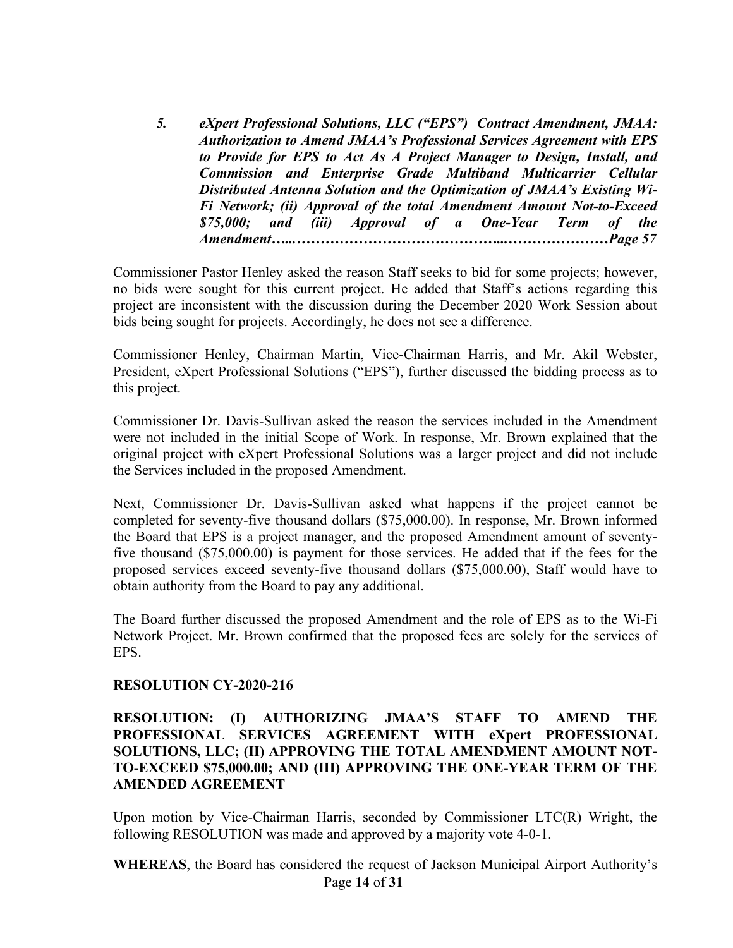*5. eXpert Professional Solutions, LLC ("EPS") Contract Amendment, JMAA: Authorization to Amend JMAA's Professional Services Agreement with EPS to Provide for EPS to Act As A Project Manager to Design, Install, and Commission and Enterprise Grade Multiband Multicarrier Cellular Distributed Antenna Solution and the Optimization of JMAA's Existing Wi-Fi Network; (ii) Approval of the total Amendment Amount Not-to-Exceed \$75,000; and (iii) Approval of a One-Year Term of the Amendment…...……………………………………...…………………Page 57*

Commissioner Pastor Henley asked the reason Staff seeks to bid for some projects; however, no bids were sought for this current project. He added that Staff's actions regarding this project are inconsistent with the discussion during the December 2020 Work Session about bids being sought for projects. Accordingly, he does not see a difference.

Commissioner Henley, Chairman Martin, Vice-Chairman Harris, and Mr. Akil Webster, President, eXpert Professional Solutions ("EPS"), further discussed the bidding process as to this project.

Commissioner Dr. Davis-Sullivan asked the reason the services included in the Amendment were not included in the initial Scope of Work. In response, Mr. Brown explained that the original project with eXpert Professional Solutions was a larger project and did not include the Services included in the proposed Amendment.

Next, Commissioner Dr. Davis-Sullivan asked what happens if the project cannot be completed for seventy-five thousand dollars (\$75,000.00). In response, Mr. Brown informed the Board that EPS is a project manager, and the proposed Amendment amount of seventyfive thousand (\$75,000.00) is payment for those services. He added that if the fees for the proposed services exceed seventy-five thousand dollars (\$75,000.00), Staff would have to obtain authority from the Board to pay any additional.

The Board further discussed the proposed Amendment and the role of EPS as to the Wi-Fi Network Project. Mr. Brown confirmed that the proposed fees are solely for the services of EPS.

#### **RESOLUTION CY-2020-216**

#### **RESOLUTION: (I) AUTHORIZING JMAA'S STAFF TO AMEND THE PROFESSIONAL SERVICES AGREEMENT WITH eXpert PROFESSIONAL SOLUTIONS, LLC; (II) APPROVING THE TOTAL AMENDMENT AMOUNT NOT-TO-EXCEED \$75,000.00; AND (III) APPROVING THE ONE-YEAR TERM OF THE AMENDED AGREEMENT**

Upon motion by Vice-Chairman Harris, seconded by Commissioner LTC(R) Wright, the following RESOLUTION was made and approved by a majority vote 4-0-1.

Page **14** of **31 WHEREAS**, the Board has considered the request of Jackson Municipal Airport Authority's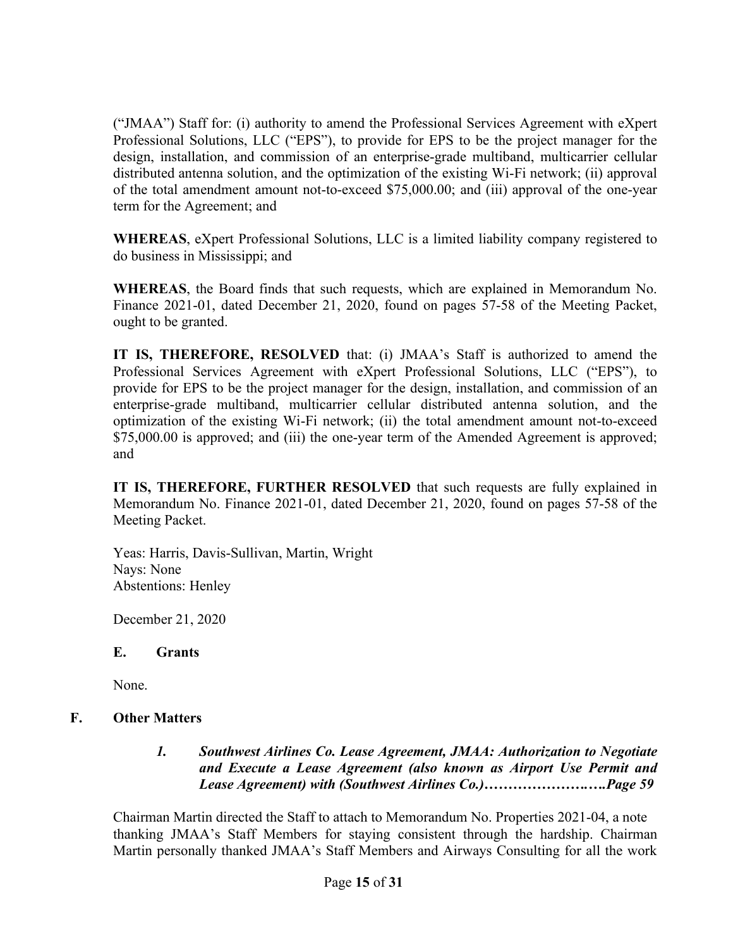("JMAA") Staff for: (i) authority to amend the Professional Services Agreement with eXpert Professional Solutions, LLC ("EPS"), to provide for EPS to be the project manager for the design, installation, and commission of an enterprise-grade multiband, multicarrier cellular distributed antenna solution, and the optimization of the existing Wi-Fi network; (ii) approval of the total amendment amount not-to-exceed \$75,000.00; and (iii) approval of the one-year term for the Agreement; and

**WHEREAS**, eXpert Professional Solutions, LLC is a limited liability company registered to do business in Mississippi; and

**WHEREAS**, the Board finds that such requests, which are explained in Memorandum No. Finance 2021-01, dated December 21, 2020, found on pages 57-58 of the Meeting Packet, ought to be granted.

**IT IS, THEREFORE, RESOLVED** that: (i) JMAA's Staff is authorized to amend the Professional Services Agreement with eXpert Professional Solutions, LLC ("EPS"), to provide for EPS to be the project manager for the design, installation, and commission of an enterprise-grade multiband, multicarrier cellular distributed antenna solution, and the optimization of the existing Wi-Fi network; (ii) the total amendment amount not-to-exceed \$75,000.00 is approved; and (iii) the one-year term of the Amended Agreement is approved; and

**IT IS, THEREFORE, FURTHER RESOLVED** that such requests are fully explained in Memorandum No. Finance 2021-01, dated December 21, 2020, found on pages 57-58 of the Meeting Packet.

Yeas: Harris, Davis-Sullivan, Martin, Wright Nays: None Abstentions: Henley

December 21, 2020

## **E. Grants**

None.

## **F. Other Matters**

*1. Southwest Airlines Co. Lease Agreement, JMAA: Authorization to Negotiate and Execute a Lease Agreement (also known as Airport Use Permit and Lease Agreement) with (Southwest Airlines Co.)………………….….Page 59*

Chairman Martin directed the Staff to attach to Memorandum No. Properties 2021-04, a note thanking JMAA's Staff Members for staying consistent through the hardship. Chairman Martin personally thanked JMAA's Staff Members and Airways Consulting for all the work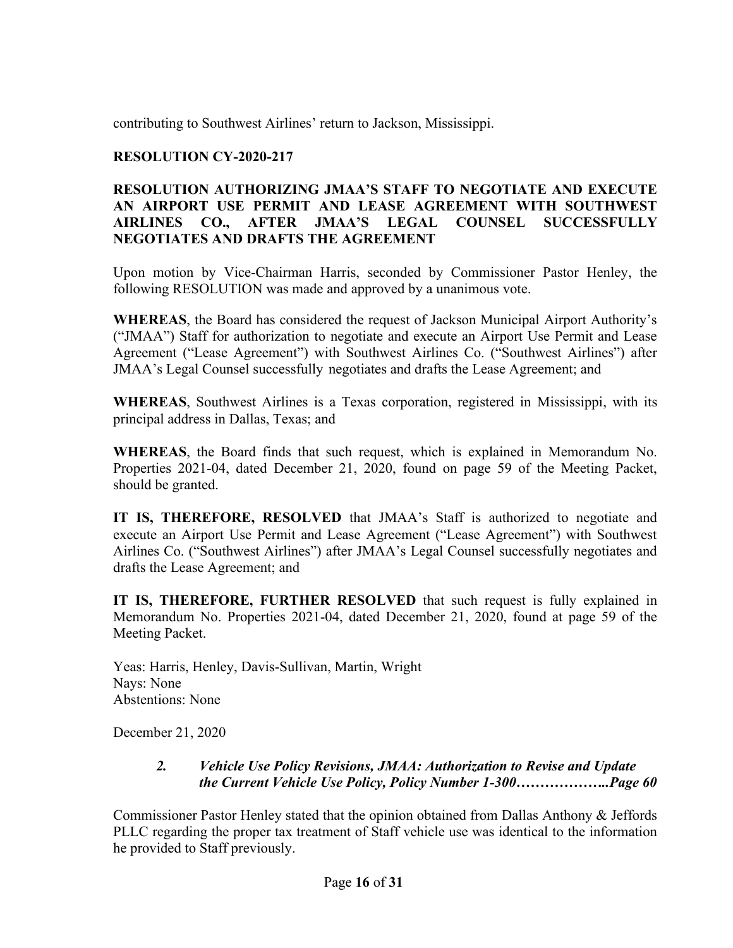contributing to Southwest Airlines' return to Jackson, Mississippi.

## **RESOLUTION CY-2020-217**

## **RESOLUTION AUTHORIZING JMAA'S STAFF TO NEGOTIATE AND EXECUTE AN AIRPORT USE PERMIT AND LEASE AGREEMENT WITH SOUTHWEST AIRLINES CO., AFTER JMAA'S LEGAL COUNSEL SUCCESSFULLY NEGOTIATES AND DRAFTS THE AGREEMENT**

Upon motion by Vice-Chairman Harris, seconded by Commissioner Pastor Henley, the following RESOLUTION was made and approved by a unanimous vote.

**WHEREAS**, the Board has considered the request of Jackson Municipal Airport Authority's ("JMAA") Staff for authorization to negotiate and execute an Airport Use Permit and Lease Agreement ("Lease Agreement") with Southwest Airlines Co. ("Southwest Airlines") after JMAA's Legal Counsel successfully negotiates and drafts the Lease Agreement; and

**WHEREAS**, Southwest Airlines is a Texas corporation, registered in Mississippi, with its principal address in Dallas, Texas; and

**WHEREAS**, the Board finds that such request, which is explained in Memorandum No. Properties 2021-04, dated December 21, 2020, found on page 59 of the Meeting Packet, should be granted.

**IT IS, THEREFORE, RESOLVED** that JMAA's Staff is authorized to negotiate and execute an Airport Use Permit and Lease Agreement ("Lease Agreement") with Southwest Airlines Co. ("Southwest Airlines") after JMAA's Legal Counsel successfully negotiates and drafts the Lease Agreement; and

**IT IS, THEREFORE, FURTHER RESOLVED** that such request is fully explained in Memorandum No. Properties 2021-04, dated December 21, 2020, found at page 59 of the Meeting Packet.

Yeas: Harris, Henley, Davis-Sullivan, Martin, Wright Nays: None Abstentions: None

December 21, 2020

## *2. Vehicle Use Policy Revisions, JMAA: Authorization to Revise and Update the Current Vehicle Use Policy, Policy Number 1-300………………..Page 60*

Commissioner Pastor Henley stated that the opinion obtained from Dallas Anthony & Jeffords PLLC regarding the proper tax treatment of Staff vehicle use was identical to the information he provided to Staff previously.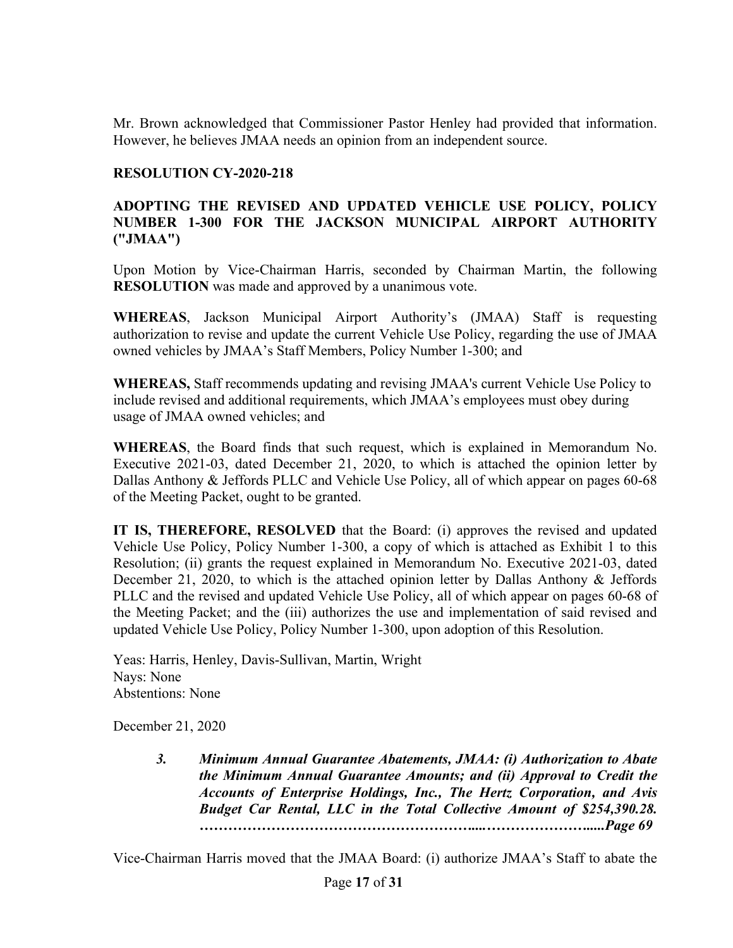Mr. Brown acknowledged that Commissioner Pastor Henley had provided that information. However, he believes JMAA needs an opinion from an independent source.

#### **RESOLUTION CY-2020-218**

## **ADOPTING THE REVISED AND UPDATED VEHICLE USE POLICY, POLICY NUMBER 1-300 FOR THE JACKSON MUNICIPAL AIRPORT AUTHORITY ("JMAA")**

Upon Motion by Vice-Chairman Harris, seconded by Chairman Martin, the following **RESOLUTION** was made and approved by a unanimous vote.

**WHEREAS**, Jackson Municipal Airport Authority's (JMAA) Staff is requesting authorization to revise and update the current Vehicle Use Policy, regarding the use of JMAA owned vehicles by JMAA's Staff Members, Policy Number 1-300; and

**WHEREAS,** Staff recommends updating and revising JMAA's current Vehicle Use Policy to include revised and additional requirements, which JMAA's employees must obey during usage of JMAA owned vehicles; and

**WHEREAS**, the Board finds that such request, which is explained in Memorandum No. Executive 2021-03, dated December 21, 2020, to which is attached the opinion letter by Dallas Anthony & Jeffords PLLC and Vehicle Use Policy, all of which appear on pages 60-68 of the Meeting Packet, ought to be granted.

**IT IS, THEREFORE, RESOLVED** that the Board: (i) approves the revised and updated Vehicle Use Policy, Policy Number 1-300, a copy of which is attached as Exhibit 1 to this Resolution; (ii) grants the request explained in Memorandum No. Executive 2021-03, dated December 21, 2020, to which is the attached opinion letter by Dallas Anthony & Jeffords PLLC and the revised and updated Vehicle Use Policy, all of which appear on pages 60-68 of the Meeting Packet; and the (iii) authorizes the use and implementation of said revised and updated Vehicle Use Policy, Policy Number 1-300, upon adoption of this Resolution.

Yeas: Harris, Henley, Davis-Sullivan, Martin, Wright Nays: None Abstentions: None

December 21, 2020

*3. Minimum Annual Guarantee Abatements, JMAA: (i) Authorization to Abate the Minimum Annual Guarantee Amounts; and (ii) Approval to Credit the Accounts of Enterprise Holdings, Inc., The Hertz Corporation, and Avis Budget Car Rental, LLC in the Total Collective Amount of \$254,390.28. …………………………………………………....………………….....Page 69*

Vice-Chairman Harris moved that the JMAA Board: (i) authorize JMAA's Staff to abate the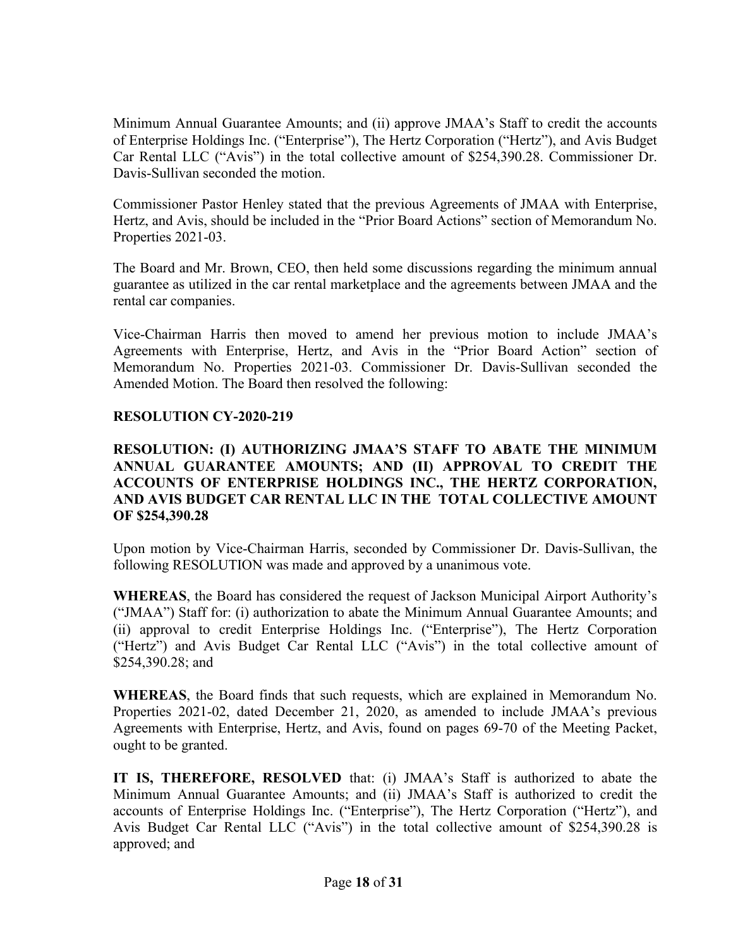Minimum Annual Guarantee Amounts; and (ii) approve JMAA's Staff to credit the accounts of Enterprise Holdings Inc. ("Enterprise"), The Hertz Corporation ("Hertz"), and Avis Budget Car Rental LLC ("Avis") in the total collective amount of \$254,390.28. Commissioner Dr. Davis-Sullivan seconded the motion.

Commissioner Pastor Henley stated that the previous Agreements of JMAA with Enterprise, Hertz, and Avis, should be included in the "Prior Board Actions" section of Memorandum No. Properties 2021-03.

The Board and Mr. Brown, CEO, then held some discussions regarding the minimum annual guarantee as utilized in the car rental marketplace and the agreements between JMAA and the rental car companies.

Vice-Chairman Harris then moved to amend her previous motion to include JMAA's Agreements with Enterprise, Hertz, and Avis in the "Prior Board Action" section of Memorandum No. Properties 2021-03. Commissioner Dr. Davis-Sullivan seconded the Amended Motion. The Board then resolved the following:

## **RESOLUTION CY-2020-219**

## **RESOLUTION: (I) AUTHORIZING JMAA'S STAFF TO ABATE THE MINIMUM ANNUAL GUARANTEE AMOUNTS; AND (II) APPROVAL TO CREDIT THE ACCOUNTS OF ENTERPRISE HOLDINGS INC., THE HERTZ CORPORATION, AND AVIS BUDGET CAR RENTAL LLC IN THE TOTAL COLLECTIVE AMOUNT OF \$254,390.28**

Upon motion by Vice-Chairman Harris, seconded by Commissioner Dr. Davis-Sullivan, the following RESOLUTION was made and approved by a unanimous vote.

**WHEREAS**, the Board has considered the request of Jackson Municipal Airport Authority's ("JMAA") Staff for: (i) authorization to abate the Minimum Annual Guarantee Amounts; and (ii) approval to credit Enterprise Holdings Inc. ("Enterprise"), The Hertz Corporation ("Hertz") and Avis Budget Car Rental LLC ("Avis") in the total collective amount of \$254,390.28; and

**WHEREAS**, the Board finds that such requests, which are explained in Memorandum No. Properties 2021-02, dated December 21, 2020, as amended to include JMAA's previous Agreements with Enterprise, Hertz, and Avis, found on pages 69-70 of the Meeting Packet, ought to be granted.

**IT IS, THEREFORE, RESOLVED** that: (i) JMAA's Staff is authorized to abate the Minimum Annual Guarantee Amounts; and (ii) JMAA's Staff is authorized to credit the accounts of Enterprise Holdings Inc. ("Enterprise"), The Hertz Corporation ("Hertz"), and Avis Budget Car Rental LLC ("Avis") in the total collective amount of \$254,390.28 is approved; and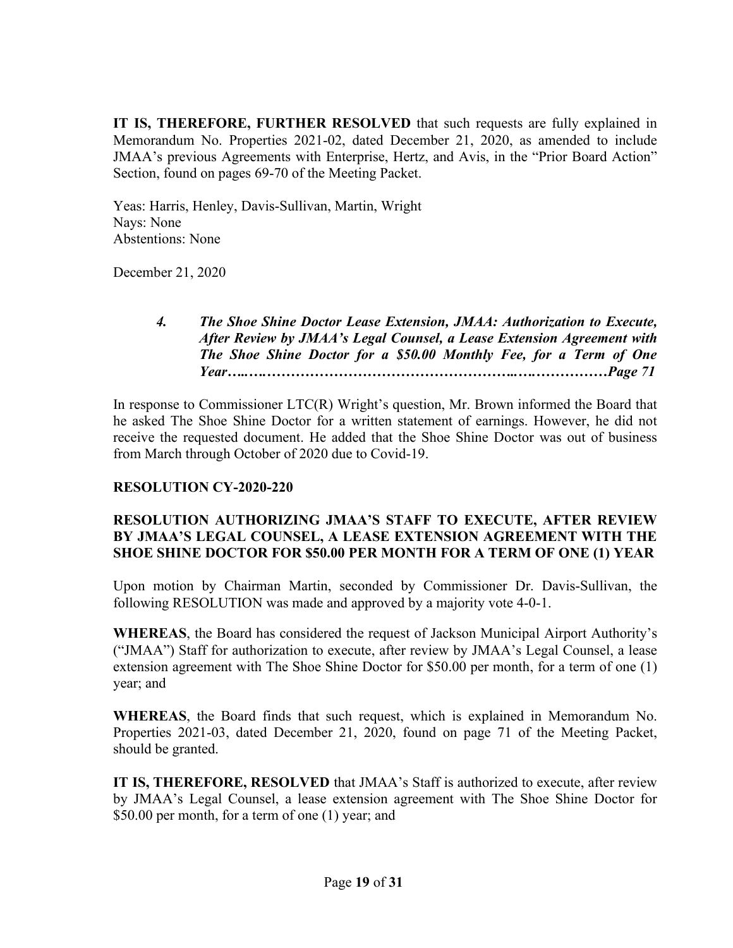**IT IS, THEREFORE, FURTHER RESOLVED** that such requests are fully explained in Memorandum No. Properties 2021-02, dated December 21, 2020, as amended to include JMAA's previous Agreements with Enterprise, Hertz, and Avis, in the "Prior Board Action" Section, found on pages 69-70 of the Meeting Packet.

Yeas: Harris, Henley, Davis-Sullivan, Martin, Wright Nays: None Abstentions: None

December 21, 2020

*4. The Shoe Shine Doctor Lease Extension, JMAA: Authorization to Execute, After Review by JMAA's Legal Counsel, a Lease Extension Agreement with The Shoe Shine Doctor for a \$50.00 Monthly Fee, for a Term of One Year…..….……………………………………………..….……………Page 71*

In response to Commissioner LTC(R) Wright's question, Mr. Brown informed the Board that he asked The Shoe Shine Doctor for a written statement of earnings. However, he did not receive the requested document. He added that the Shoe Shine Doctor was out of business from March through October of 2020 due to Covid-19.

## **RESOLUTION CY-2020-220**

#### **RESOLUTION AUTHORIZING JMAA'S STAFF TO EXECUTE, AFTER REVIEW BY JMAA'S LEGAL COUNSEL, A LEASE EXTENSION AGREEMENT WITH THE SHOE SHINE DOCTOR FOR \$50.00 PER MONTH FOR A TERM OF ONE (1) YEAR**

Upon motion by Chairman Martin, seconded by Commissioner Dr. Davis-Sullivan, the following RESOLUTION was made and approved by a majority vote 4-0-1.

**WHEREAS**, the Board has considered the request of Jackson Municipal Airport Authority's ("JMAA") Staff for authorization to execute, after review by JMAA's Legal Counsel, a lease extension agreement with The Shoe Shine Doctor for \$50.00 per month, for a term of one (1) year; and

**WHEREAS**, the Board finds that such request, which is explained in Memorandum No. Properties 2021-03, dated December 21, 2020, found on page 71 of the Meeting Packet, should be granted.

**IT IS, THEREFORE, RESOLVED** that JMAA's Staff is authorized to execute, after review by JMAA's Legal Counsel, a lease extension agreement with The Shoe Shine Doctor for \$50.00 per month, for a term of one (1) year; and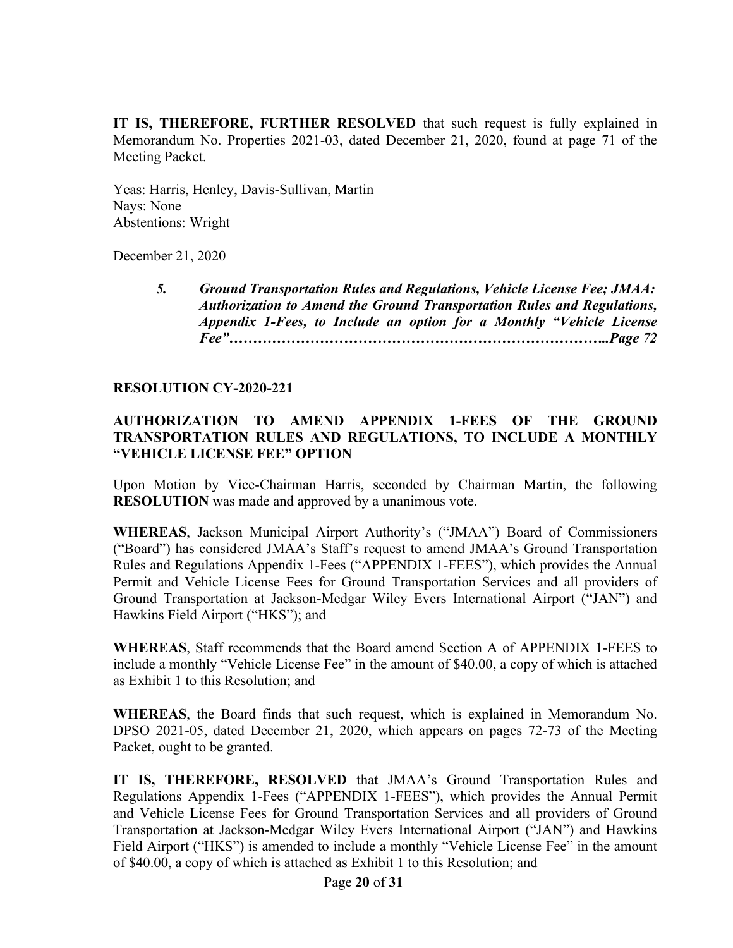**IT IS, THEREFORE, FURTHER RESOLVED** that such request is fully explained in Memorandum No. Properties 2021-03, dated December 21, 2020, found at page 71 of the Meeting Packet.

Yeas: Harris, Henley, Davis-Sullivan, Martin Nays: None Abstentions: Wright

December 21, 2020

*5. Ground Transportation Rules and Regulations, Vehicle License Fee; JMAA: Authorization to Amend the Ground Transportation Rules and Regulations, Appendix 1-Fees, to Include an option for a Monthly "Vehicle License Fee"……………………………………………………………………..Page 72*

## **RESOLUTION CY-2020-221**

## **AUTHORIZATION TO AMEND APPENDIX 1-FEES OF THE GROUND TRANSPORTATION RULES AND REGULATIONS, TO INCLUDE A MONTHLY "VEHICLE LICENSE FEE" OPTION**

Upon Motion by Vice-Chairman Harris, seconded by Chairman Martin, the following **RESOLUTION** was made and approved by a unanimous vote.

**WHEREAS**, Jackson Municipal Airport Authority's ("JMAA") Board of Commissioners ("Board") has considered JMAA's Staff's request to amend JMAA's Ground Transportation Rules and Regulations Appendix 1-Fees ("APPENDIX 1-FEES"), which provides the Annual Permit and Vehicle License Fees for Ground Transportation Services and all providers of Ground Transportation at Jackson-Medgar Wiley Evers International Airport ("JAN") and Hawkins Field Airport ("HKS"); and

**WHEREAS**, Staff recommends that the Board amend Section A of APPENDIX 1-FEES to include a monthly "Vehicle License Fee" in the amount of \$40.00, a copy of which is attached as Exhibit 1 to this Resolution; and

**WHEREAS**, the Board finds that such request, which is explained in Memorandum No. DPSO 2021-05, dated December 21, 2020, which appears on pages 72-73 of the Meeting Packet, ought to be granted.

**IT IS, THEREFORE, RESOLVED** that JMAA's Ground Transportation Rules and Regulations Appendix 1-Fees ("APPENDIX 1-FEES"), which provides the Annual Permit and Vehicle License Fees for Ground Transportation Services and all providers of Ground Transportation at Jackson-Medgar Wiley Evers International Airport ("JAN") and Hawkins Field Airport ("HKS") is amended to include a monthly "Vehicle License Fee" in the amount of \$40.00, a copy of which is attached as Exhibit 1 to this Resolution; and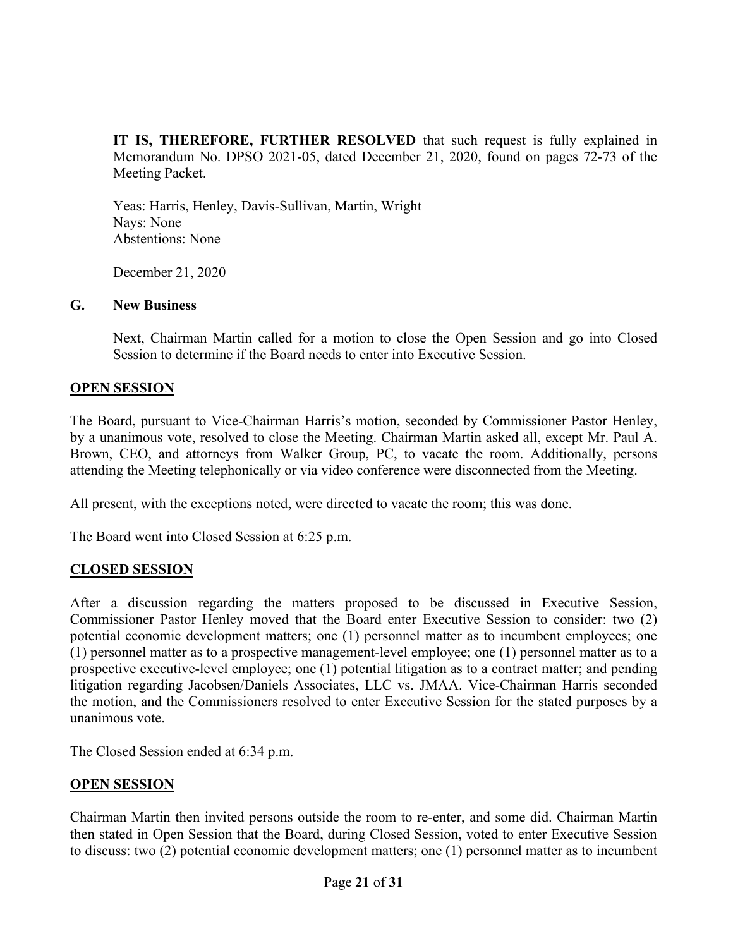**IT IS, THEREFORE, FURTHER RESOLVED** that such request is fully explained in Memorandum No. DPSO 2021-05, dated December 21, 2020, found on pages 72-73 of the Meeting Packet.

Yeas: Harris, Henley, Davis-Sullivan, Martin, Wright Nays: None Abstentions: None

December 21, 2020

#### **G. New Business**

Next, Chairman Martin called for a motion to close the Open Session and go into Closed Session to determine if the Board needs to enter into Executive Session.

## **OPEN SESSION**

The Board, pursuant to Vice-Chairman Harris's motion, seconded by Commissioner Pastor Henley, by a unanimous vote, resolved to close the Meeting. Chairman Martin asked all, except Mr. Paul A. Brown, CEO, and attorneys from Walker Group, PC, to vacate the room. Additionally, persons attending the Meeting telephonically or via video conference were disconnected from the Meeting.

All present, with the exceptions noted, were directed to vacate the room; this was done.

The Board went into Closed Session at 6:25 p.m.

## **CLOSED SESSION**

After a discussion regarding the matters proposed to be discussed in Executive Session, Commissioner Pastor Henley moved that the Board enter Executive Session to consider: two (2) potential economic development matters; one (1) personnel matter as to incumbent employees; one (1) personnel matter as to a prospective management-level employee; one (1) personnel matter as to a prospective executive-level employee; one (1) potential litigation as to a contract matter; and pending litigation regarding Jacobsen/Daniels Associates, LLC vs. JMAA. Vice-Chairman Harris seconded the motion, and the Commissioners resolved to enter Executive Session for the stated purposes by a unanimous vote.

The Closed Session ended at 6:34 p.m.

## **OPEN SESSION**

Chairman Martin then invited persons outside the room to re-enter, and some did. Chairman Martin then stated in Open Session that the Board, during Closed Session, voted to enter Executive Session to discuss: two (2) potential economic development matters; one (1) personnel matter as to incumbent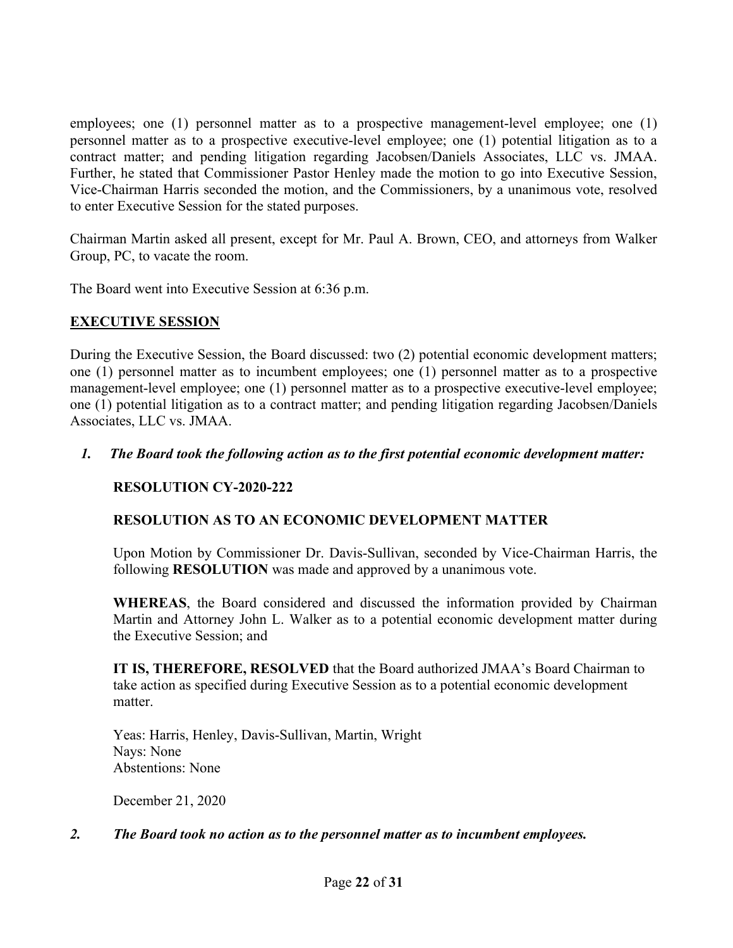employees; one (1) personnel matter as to a prospective management-level employee; one (1) personnel matter as to a prospective executive-level employee; one (1) potential litigation as to a contract matter; and pending litigation regarding Jacobsen/Daniels Associates, LLC vs. JMAA. Further, he stated that Commissioner Pastor Henley made the motion to go into Executive Session, Vice-Chairman Harris seconded the motion, and the Commissioners, by a unanimous vote, resolved to enter Executive Session for the stated purposes.

Chairman Martin asked all present, except for Mr. Paul A. Brown, CEO, and attorneys from Walker Group, PC, to vacate the room.

The Board went into Executive Session at 6:36 p.m.

## **EXECUTIVE SESSION**

During the Executive Session, the Board discussed: two (2) potential economic development matters; one (1) personnel matter as to incumbent employees; one (1) personnel matter as to a prospective management-level employee; one (1) personnel matter as to a prospective executive-level employee; one (1) potential litigation as to a contract matter; and pending litigation regarding Jacobsen/Daniels Associates, LLC vs. JMAA.

## *1. The Board took the following action as to the first potential economic development matter:*

# **RESOLUTION CY-2020-222**

# **RESOLUTION AS TO AN ECONOMIC DEVELOPMENT MATTER**

Upon Motion by Commissioner Dr. Davis-Sullivan, seconded by Vice-Chairman Harris, the following **RESOLUTION** was made and approved by a unanimous vote.

**WHEREAS**, the Board considered and discussed the information provided by Chairman Martin and Attorney John L. Walker as to a potential economic development matter during the Executive Session; and

**IT IS, THEREFORE, RESOLVED** that the Board authorized JMAA's Board Chairman to take action as specified during Executive Session as to a potential economic development matter.

Yeas: Harris, Henley, Davis-Sullivan, Martin, Wright Nays: None Abstentions: None

December 21, 2020

## *2. The Board took no action as to the personnel matter as to incumbent employees.*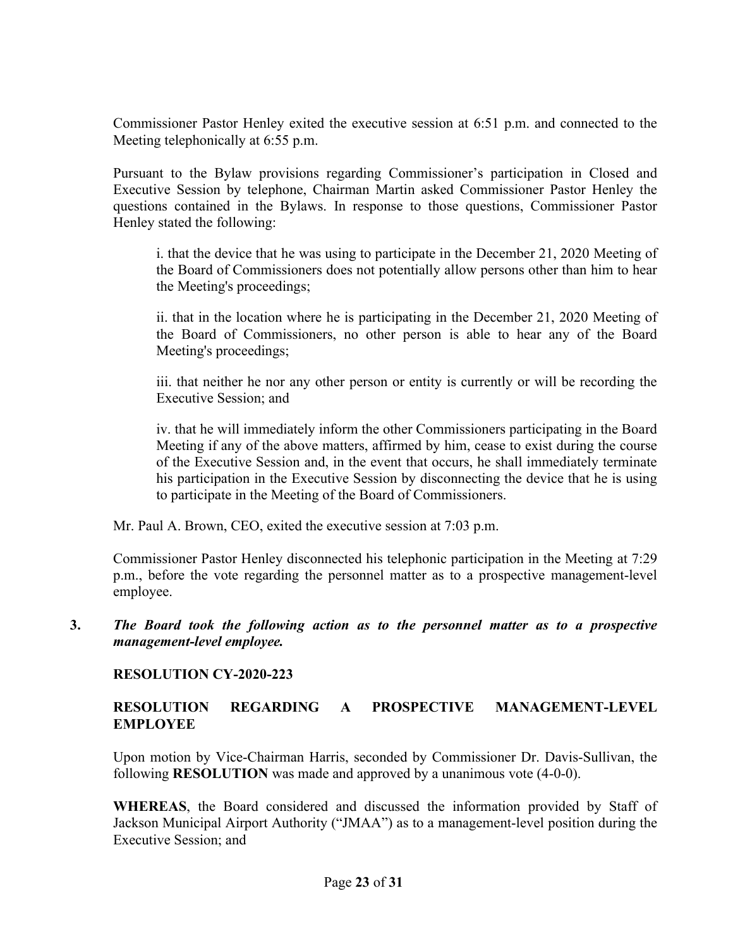Commissioner Pastor Henley exited the executive session at 6:51 p.m. and connected to the Meeting telephonically at 6:55 p.m.

Pursuant to the Bylaw provisions regarding Commissioner's participation in Closed and Executive Session by telephone, Chairman Martin asked Commissioner Pastor Henley the questions contained in the Bylaws. In response to those questions, Commissioner Pastor Henley stated the following:

i. that the device that he was using to participate in the December 21, 2020 Meeting of the Board of Commissioners does not potentially allow persons other than him to hear the Meeting's proceedings;

ii. that in the location where he is participating in the December 21, 2020 Meeting of the Board of Commissioners, no other person is able to hear any of the Board Meeting's proceedings;

iii. that neither he nor any other person or entity is currently or will be recording the Executive Session; and

iv. that he will immediately inform the other Commissioners participating in the Board Meeting if any of the above matters, affirmed by him, cease to exist during the course of the Executive Session and, in the event that occurs, he shall immediately terminate his participation in the Executive Session by disconnecting the device that he is using to participate in the Meeting of the Board of Commissioners.

Mr. Paul A. Brown, CEO, exited the executive session at 7:03 p.m.

Commissioner Pastor Henley disconnected his telephonic participation in the Meeting at 7:29 p.m., before the vote regarding the personnel matter as to a prospective management-level employee.

**3.** *The Board took the following action as to the personnel matter as to a prospective management-level employee.*

## **RESOLUTION CY-2020-223**

## **RESOLUTION REGARDING A PROSPECTIVE MANAGEMENT-LEVEL EMPLOYEE**

Upon motion by Vice-Chairman Harris, seconded by Commissioner Dr. Davis-Sullivan, the following **RESOLUTION** was made and approved by a unanimous vote (4-0-0).

**WHEREAS**, the Board considered and discussed the information provided by Staff of Jackson Municipal Airport Authority ("JMAA") as to a management-level position during the Executive Session; and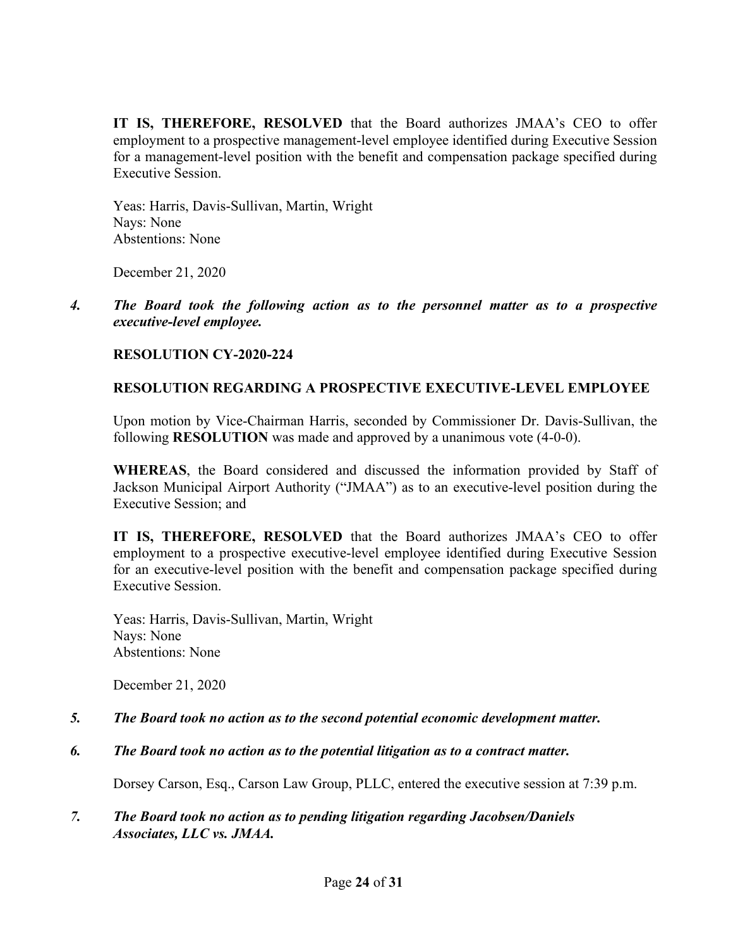**IT IS, THEREFORE, RESOLVED** that the Board authorizes JMAA's CEO to offer employment to a prospective management-level employee identified during Executive Session for a management-level position with the benefit and compensation package specified during Executive Session.

Yeas: Harris, Davis-Sullivan, Martin, Wright Nays: None Abstentions: None

December 21, 2020

*4. The Board took the following action as to the personnel matter as to a prospective executive-level employee.*

## **RESOLUTION CY-2020-224**

## **RESOLUTION REGARDING A PROSPECTIVE EXECUTIVE-LEVEL EMPLOYEE**

Upon motion by Vice-Chairman Harris, seconded by Commissioner Dr. Davis-Sullivan, the following **RESOLUTION** was made and approved by a unanimous vote (4-0-0).

**WHEREAS**, the Board considered and discussed the information provided by Staff of Jackson Municipal Airport Authority ("JMAA") as to an executive-level position during the Executive Session; and

**IT IS, THEREFORE, RESOLVED** that the Board authorizes JMAA's CEO to offer employment to a prospective executive-level employee identified during Executive Session for an executive-level position with the benefit and compensation package specified during Executive Session.

Yeas: Harris, Davis-Sullivan, Martin, Wright Nays: None Abstentions: None

December 21, 2020

- *5. The Board took no action as to the second potential economic development matter.*
- *6. The Board took no action as to the potential litigation as to a contract matter.*

Dorsey Carson, Esq., Carson Law Group, PLLC, entered the executive session at 7:39 p.m.

## *7. The Board took no action as to pending litigation regarding Jacobsen/Daniels Associates, LLC vs. JMAA.*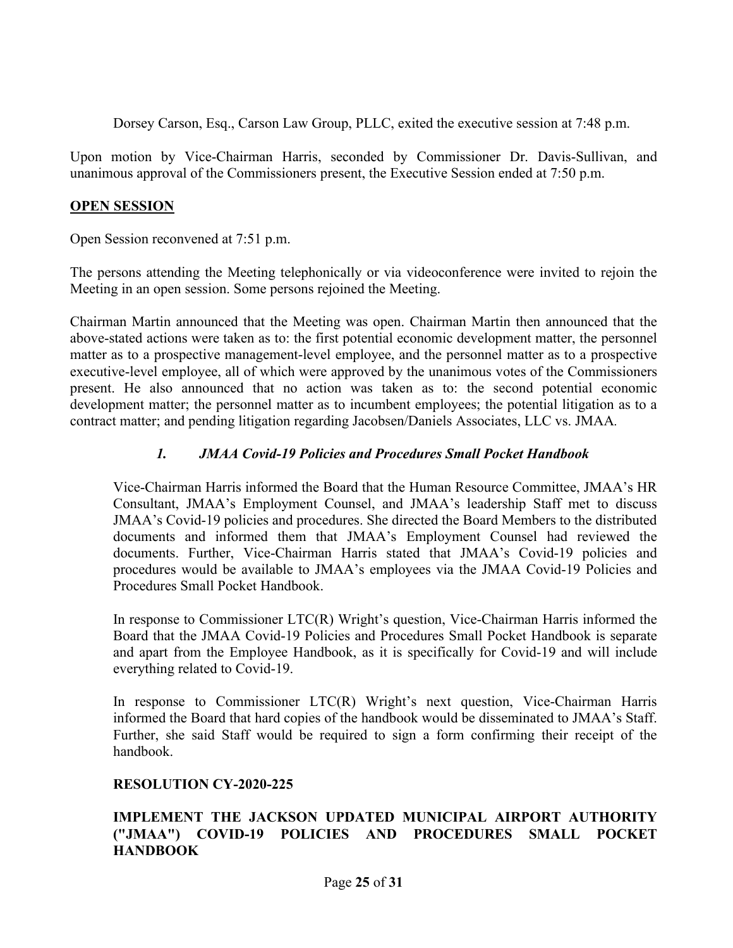Dorsey Carson, Esq., Carson Law Group, PLLC, exited the executive session at 7:48 p.m.

Upon motion by Vice-Chairman Harris, seconded by Commissioner Dr. Davis-Sullivan, and unanimous approval of the Commissioners present, the Executive Session ended at 7:50 p.m.

#### **OPEN SESSION**

Open Session reconvened at 7:51 p.m.

The persons attending the Meeting telephonically or via videoconference were invited to rejoin the Meeting in an open session. Some persons rejoined the Meeting.

Chairman Martin announced that the Meeting was open. Chairman Martin then announced that the above-stated actions were taken as to: the first potential economic development matter, the personnel matter as to a prospective management-level employee, and the personnel matter as to a prospective executive-level employee, all of which were approved by the unanimous votes of the Commissioners present. He also announced that no action was taken as to: the second potential economic development matter; the personnel matter as to incumbent employees; the potential litigation as to a contract matter; and pending litigation regarding Jacobsen/Daniels Associates, LLC vs. JMAA*.*

## *1. JMAA Covid-19 Policies and Procedures Small Pocket Handbook*

Vice-Chairman Harris informed the Board that the Human Resource Committee, JMAA's HR Consultant, JMAA's Employment Counsel, and JMAA's leadership Staff met to discuss JMAA's Covid-19 policies and procedures. She directed the Board Members to the distributed documents and informed them that JMAA's Employment Counsel had reviewed the documents. Further, Vice-Chairman Harris stated that JMAA's Covid-19 policies and procedures would be available to JMAA's employees via the JMAA Covid-19 Policies and Procedures Small Pocket Handbook.

In response to Commissioner LTC(R) Wright's question, Vice-Chairman Harris informed the Board that the JMAA Covid-19 Policies and Procedures Small Pocket Handbook is separate and apart from the Employee Handbook, as it is specifically for Covid-19 and will include everything related to Covid-19.

In response to Commissioner LTC(R) Wright's next question, Vice-Chairman Harris informed the Board that hard copies of the handbook would be disseminated to JMAA's Staff. Further, she said Staff would be required to sign a form confirming their receipt of the handbook.

## **RESOLUTION CY-2020-225**

## **IMPLEMENT THE JACKSON UPDATED MUNICIPAL AIRPORT AUTHORITY ("JMAA") COVID-19 POLICIES AND PROCEDURES SMALL POCKET HANDBOOK**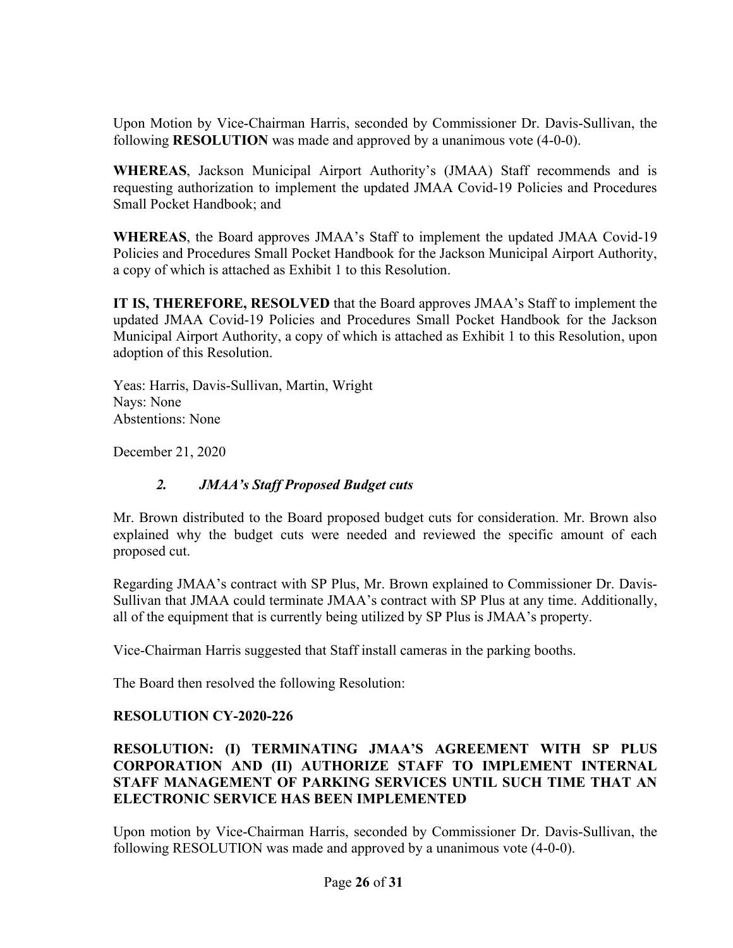Upon Motion by Vice-Chairman Harris, seconded by Commissioner Dr. Davis-Sullivan, the following **RESOLUTION** was made and approved by a unanimous vote (4-0-0).

**WHEREAS**, Jackson Municipal Airport Authority's (JMAA) Staff recommends and is requesting authorization to implement the updated JMAA Covid-19 Policies and Procedures Small Pocket Handbook; and

**WHEREAS**, the Board approves JMAA's Staff to implement the updated JMAA Covid-19 Policies and Procedures Small Pocket Handbook for the Jackson Municipal Airport Authority, a copy of which is attached as Exhibit 1 to this Resolution.

**IT IS, THEREFORE, RESOLVED** that the Board approves JMAA's Staff to implement the updated JMAA Covid-19 Policies and Procedures Small Pocket Handbook for the Jackson Municipal Airport Authority, a copy of which is attached as Exhibit 1 to this Resolution, upon adoption of this Resolution.

Yeas: Harris, Davis-Sullivan, Martin, Wright Nays: None Abstentions: None

December 21, 2020

## *2. JMAA's Staff Proposed Budget cuts*

Mr. Brown distributed to the Board proposed budget cuts for consideration. Mr. Brown also explained why the budget cuts were needed and reviewed the specific amount of each proposed cut.

Regarding JMAA's contract with SP Plus, Mr. Brown explained to Commissioner Dr. Davis-Sullivan that JMAA could terminate JMAA's contract with SP Plus at any time. Additionally, all of the equipment that is currently being utilized by SP Plus is JMAA's property.

Vice-Chairman Harris suggested that Staff install cameras in the parking booths.

The Board then resolved the following Resolution:

# **RESOLUTION CY-2020-226**

## **RESOLUTION: (I) TERMINATING JMAA'S AGREEMENT WITH SP PLUS CORPORATION AND (II) AUTHORIZE STAFF TO IMPLEMENT INTERNAL STAFF MANAGEMENT OF PARKING SERVICES UNTIL SUCH TIME THAT AN ELECTRONIC SERVICE HAS BEEN IMPLEMENTED**

Upon motion by Vice-Chairman Harris, seconded by Commissioner Dr. Davis-Sullivan, the following RESOLUTION was made and approved by a unanimous vote (4-0-0).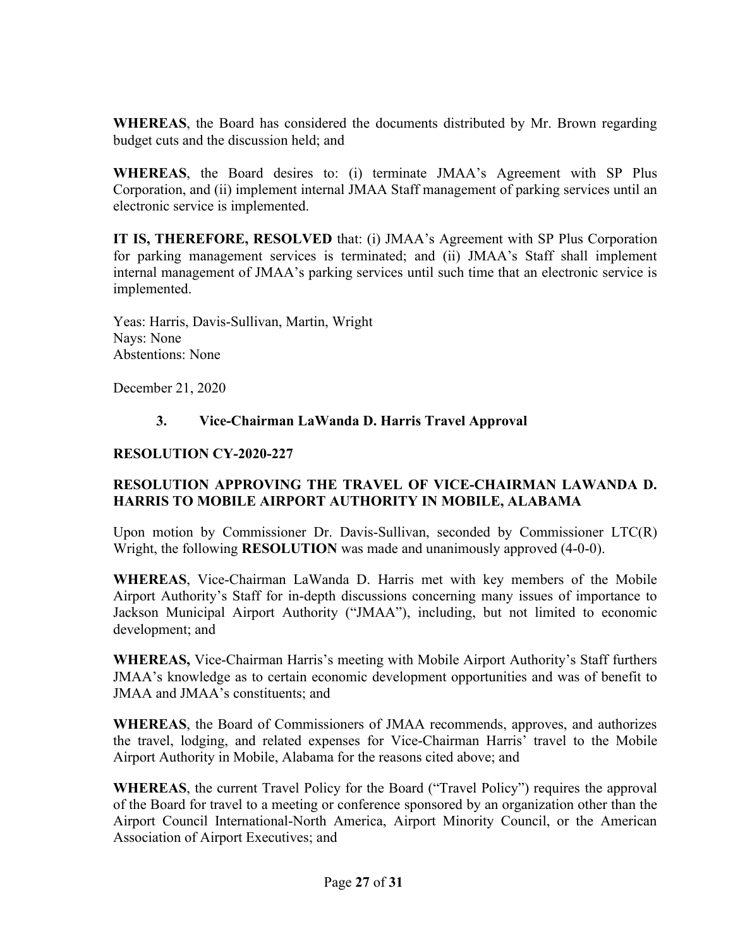**WHEREAS**, the Board has considered the documents distributed by Mr. Brown regarding budget cuts and the discussion held; and

**WHEREAS**, the Board desires to: (i) terminate JMAA's Agreement with SP Plus Corporation, and (ii) implement internal JMAA Staff management of parking services until an electronic service is implemented.

**IT IS, THEREFORE, RESOLVED** that: (i) JMAA's Agreement with SP Plus Corporation for parking management services is terminated; and (ii) JMAA's Staff shall implement internal management of JMAA's parking services until such time that an electronic service is implemented.

Yeas: Harris, Davis-Sullivan, Martin, Wright Nays: None Abstentions: None

December 21, 2020

## **3. Vice-Chairman LaWanda D. Harris Travel Approval**

## **RESOLUTION CY-2020-227**

## **RESOLUTION APPROVING THE TRAVEL OF VICE-CHAIRMAN LAWANDA D. HARRIS TO MOBILE AIRPORT AUTHORITY IN MOBILE, ALABAMA**

Upon motion by Commissioner Dr. Davis-Sullivan, seconded by Commissioner LTC(R) Wright, the following **RESOLUTION** was made and unanimously approved (4-0-0).

**WHEREAS**, Vice-Chairman LaWanda D. Harris met with key members of the Mobile Airport Authority's Staff for in-depth discussions concerning many issues of importance to Jackson Municipal Airport Authority ("JMAA"), including, but not limited to economic development; and

**WHEREAS,** Vice-Chairman Harris's meeting with Mobile Airport Authority's Staff furthers JMAA's knowledge as to certain economic development opportunities and was of benefit to JMAA and JMAA's constituents; and

**WHEREAS**, the Board of Commissioners of JMAA recommends, approves, and authorizes the travel, lodging, and related expenses for Vice-Chairman Harris' travel to the Mobile Airport Authority in Mobile, Alabama for the reasons cited above; and

**WHEREAS**, the current Travel Policy for the Board ("Travel Policy") requires the approval of the Board for travel to a meeting or conference sponsored by an organization other than the Airport Council International-North America, Airport Minority Council, or the American Association of Airport Executives; and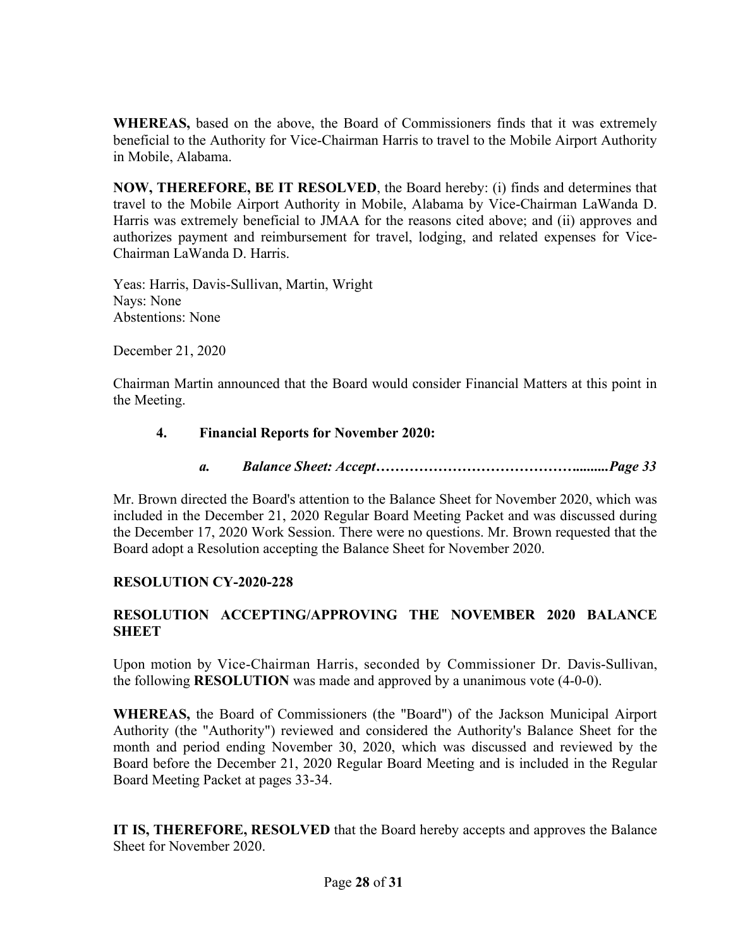**WHEREAS,** based on the above, the Board of Commissioners finds that it was extremely beneficial to the Authority for Vice-Chairman Harris to travel to the Mobile Airport Authority in Mobile, Alabama.

**NOW, THEREFORE, BE IT RESOLVED**, the Board hereby: (i) finds and determines that travel to the Mobile Airport Authority in Mobile, Alabama by Vice-Chairman LaWanda D. Harris was extremely beneficial to JMAA for the reasons cited above; and (ii) approves and authorizes payment and reimbursement for travel, lodging, and related expenses for Vice-Chairman LaWanda D. Harris.

Yeas: Harris, Davis-Sullivan, Martin, Wright Nays: None Abstentions: None

December 21, 2020

Chairman Martin announced that the Board would consider Financial Matters at this point in the Meeting.

## **4. Financial Reports for November 2020:**

*a. Balance Sheet: Accept…………………………………….........Page 33*

Mr. Brown directed the Board's attention to the Balance Sheet for November 2020, which was included in the December 21, 2020 Regular Board Meeting Packet and was discussed during the December 17, 2020 Work Session. There were no questions. Mr. Brown requested that the Board adopt a Resolution accepting the Balance Sheet for November 2020.

## **RESOLUTION CY-2020-228**

# **RESOLUTION ACCEPTING/APPROVING THE NOVEMBER 2020 BALANCE SHEET**

Upon motion by Vice-Chairman Harris, seconded by Commissioner Dr. Davis-Sullivan, the following **RESOLUTION** was made and approved by a unanimous vote (4-0-0).

**WHEREAS,** the Board of Commissioners (the "Board") of the Jackson Municipal Airport Authority (the "Authority") reviewed and considered the Authority's Balance Sheet for the month and period ending November 30, 2020, which was discussed and reviewed by the Board before the December 21, 2020 Regular Board Meeting and is included in the Regular Board Meeting Packet at pages 33-34.

**IT IS, THEREFORE, RESOLVED** that the Board hereby accepts and approves the Balance Sheet for November 2020.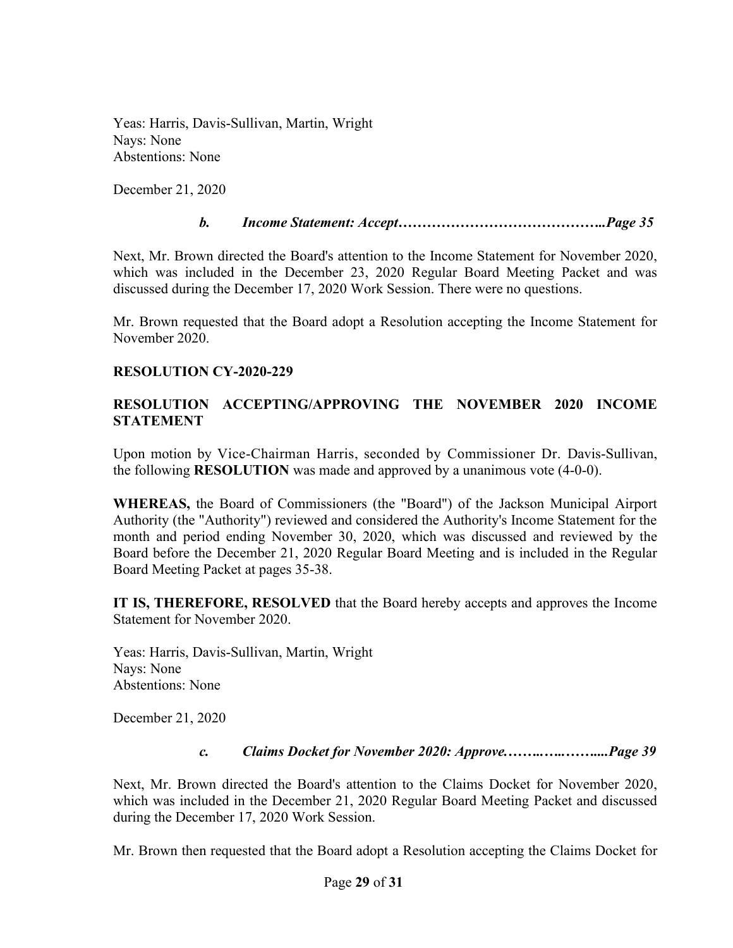Yeas: Harris, Davis-Sullivan, Martin, Wright Nays: None Abstentions: None

December 21, 2020

## *b. Income Statement: Accept……………………………………..Page 35*

Next, Mr. Brown directed the Board's attention to the Income Statement for November 2020, which was included in the December 23, 2020 Regular Board Meeting Packet and was discussed during the December 17, 2020 Work Session. There were no questions.

Mr. Brown requested that the Board adopt a Resolution accepting the Income Statement for November 2020.

## **RESOLUTION CY-2020-229**

## **RESOLUTION ACCEPTING/APPROVING THE NOVEMBER 2020 INCOME STATEMENT**

Upon motion by Vice-Chairman Harris, seconded by Commissioner Dr. Davis-Sullivan, the following **RESOLUTION** was made and approved by a unanimous vote (4-0-0).

**WHEREAS,** the Board of Commissioners (the "Board") of the Jackson Municipal Airport Authority (the "Authority") reviewed and considered the Authority's Income Statement for the month and period ending November 30, 2020, which was discussed and reviewed by the Board before the December 21, 2020 Regular Board Meeting and is included in the Regular Board Meeting Packet at pages 35-38.

**IT IS, THEREFORE, RESOLVED** that the Board hereby accepts and approves the Income Statement for November 2020.

Yeas: Harris, Davis-Sullivan, Martin, Wright Nays: None Abstentions: None

December 21, 2020

*c. Claims Docket for November 2020: Approve.……..…..……....Page 39*

Next, Mr. Brown directed the Board's attention to the Claims Docket for November 2020, which was included in the December 21, 2020 Regular Board Meeting Packet and discussed during the December 17, 2020 Work Session.

Mr. Brown then requested that the Board adopt a Resolution accepting the Claims Docket for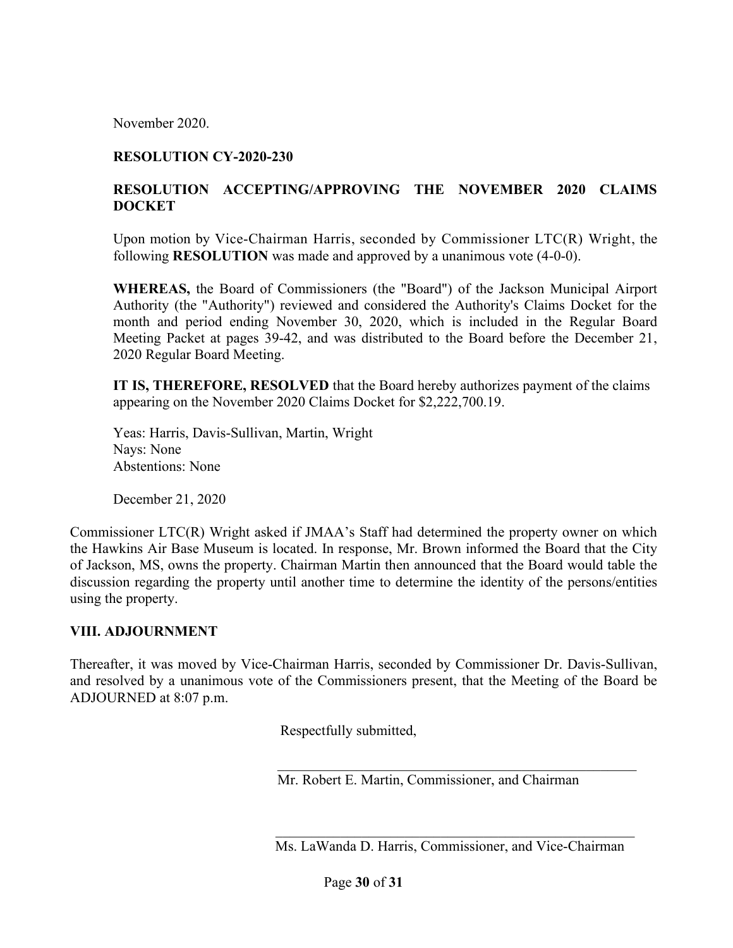November 2020.

#### **RESOLUTION CY-2020-230**

## **RESOLUTION ACCEPTING/APPROVING THE NOVEMBER 2020 CLAIMS DOCKET**

Upon motion by Vice-Chairman Harris, seconded by Commissioner LTC(R) Wright, the following **RESOLUTION** was made and approved by a unanimous vote (4-0-0).

**WHEREAS,** the Board of Commissioners (the "Board") of the Jackson Municipal Airport Authority (the "Authority") reviewed and considered the Authority's Claims Docket for the month and period ending November 30, 2020, which is included in the Regular Board Meeting Packet at pages 39-42, and was distributed to the Board before the December 21, 2020 Regular Board Meeting.

**IT IS, THEREFORE, RESOLVED** that the Board hereby authorizes payment of the claims appearing on the November 2020 Claims Docket for \$2,222,700.19.

Yeas: Harris, Davis-Sullivan, Martin, Wright Nays: None Abstentions: None

December 21, 2020

Commissioner LTC(R) Wright asked if JMAA's Staff had determined the property owner on which the Hawkins Air Base Museum is located. In response, Mr. Brown informed the Board that the City of Jackson, MS, owns the property. Chairman Martin then announced that the Board would table the discussion regarding the property until another time to determine the identity of the persons/entities using the property.

#### **VIII. ADJOURNMENT**

Thereafter, it was moved by Vice-Chairman Harris, seconded by Commissioner Dr. Davis-Sullivan, and resolved by a unanimous vote of the Commissioners present, that the Meeting of the Board be ADJOURNED at 8:07 p.m.

Respectfully submitted,

Mr. Robert E. Martin, Commissioner, and Chairman

Ms. LaWanda D. Harris, Commissioner, and Vice-Chairman

 $\mathcal{L}_\text{max} = \mathcal{L}_\text{max} = \mathcal{L}_\text{max} = \mathcal{L}_\text{max} = \mathcal{L}_\text{max} = \mathcal{L}_\text{max} = \mathcal{L}_\text{max} = \mathcal{L}_\text{max} = \mathcal{L}_\text{max} = \mathcal{L}_\text{max} = \mathcal{L}_\text{max} = \mathcal{L}_\text{max} = \mathcal{L}_\text{max} = \mathcal{L}_\text{max} = \mathcal{L}_\text{max} = \mathcal{L}_\text{max} = \mathcal{L}_\text{max} = \mathcal{L}_\text{max} = \mathcal{$